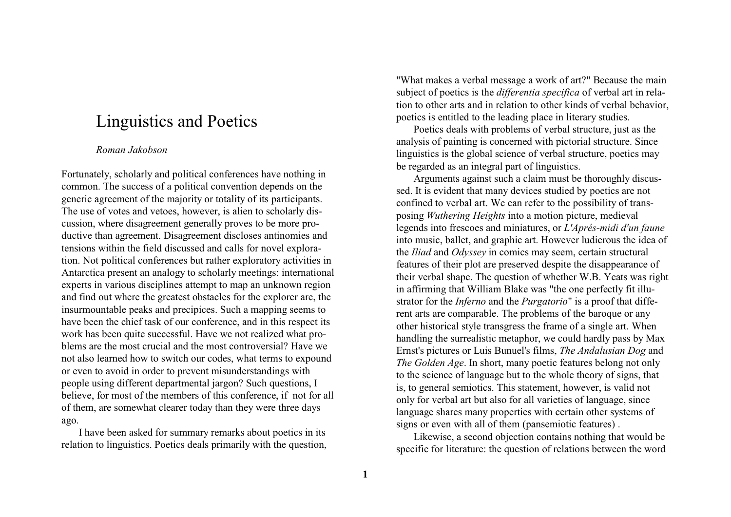## Linguistics and Poetics

#### *Roman Jakobson*

Fortunately, scholarly and political conferences have nothing in common. The success of a political convention depends on the generic agreement of the majority or totality of its participants. The use of votes and vetoes, however, is alien to scholarly discussion, where disagreement generally proves to be more productive than agreement. Disagreement discloses antinomies and tensions within the field discussed and calls for novel exploration. Not political conferences but rather exploratory activities in Antarctica present an analogy to scholarly meetings: international experts in various disciplines attempt to map an unknown region and find out where the greatest obstacles for the explorer are, the insurmountable peaks and precipices. Such a mapping seems to have been the chief task of our conference, and in this respect its work has been quite successful. Have we not realized what problems are the most crucial and the most controversial? Have we not also learned how to switch our codes, what terms to expound or even to avoid in order to prevent misunderstandings with people using different departmental jargon? Such questions, I believe, for most of the members of this conference, if not for all of them, are somewhat clearer today than they were three days ago.

I have been asked for summary remarks about poetics in its relation to linguistics. Poetics deals primarily with the question,

"What makes a verbal message a work of art?" Because the main subject of poetics is the *differentia specifica* of verbal art in relation to other arts and in relation to other kinds of verbal behavior, poetics is entitled to the leading place in literary studies.

Poetics deals with problems of verbal structure, just as the analysis of painting is concerned with pictorial structure. Since linguistics is the global science of verbal structure, poetics may be regarded as an integral part of linguistics.

Arguments against such a claim must be thoroughly discussed. It is evident that many devices studied by poetics are not confined to verbal art. We can refer to the possibility of transposing *Wuthering Heights* into a motion picture, medieval legends into frescoes and miniatures, or *L'Aprés-midi d'un faune* into music, ballet, and graphic art. However ludicrous the idea of the *Iliad* and *Odyssey* in comics may seem, certain structural features of their plot are preserved despite the disappearance of their verbal shape. The question of whether W.B. Yeats was right in affirming that William Blake was "the one perfectly fit illustrator for the *Inferno* and the *Purgatorio*" is a proof that different arts are comparable. The problems of the baroque or any other historical style transgress the frame of a single art. When handling the surrealistic metaphor, we could hardly pass by Max Ernst's pictures or Luis Bunuel's films, *The Andalusian Dog* and *The Golden Age*. In short, many poetic features belong not only to the science of language but to the whole theory of signs, that is, to general semiotics. This statement, however, is valid not only for verbal art but also for all varieties of language, since language shares many properties with certain other systems of signs or even with all of them (pansemiotic features) .

Likewise, a second objection contains nothing that would be specific for literature: the question of relations between the word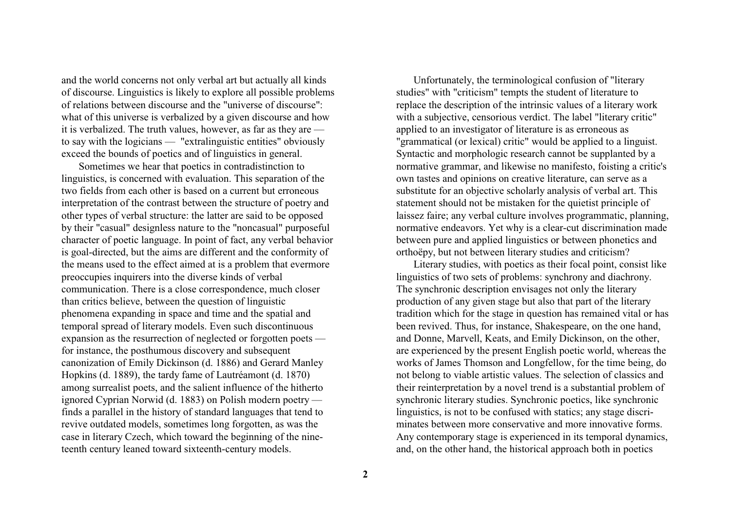and the world concerns not only verbal art but actually all kinds of discourse. Linguistics is likely to explore all possible problems of relations between discourse and the "universe of discourse": what of this universe is verbalized by a given discourse and how it is verbalized. The truth values, however, as far as they are to say with the logicians — "extralinguistic entities" obviously exceed the bounds of poetics and of linguistics in general.

Sometimes we hear that poetics in contradistinction to linguistics, is concerned with evaluation. This separation of the two fields from each other is based on a current but erroneous interpretation of the contrast between the structure of poetry and other types of verbal structure: the latter are said to be opposed by their "casual" designless nature to the "noncasual" purposeful character of poetic language. In point of fact, any verbal behavior is goal-directed, but the aims are different and the conformity of the means used to the effect aimed at is a problem that evermore preoccupies inquirers into the diverse kinds of verbal communication. There is a close correspondence, much closer than critics believe, between the question of linguistic phenomena expanding in space and time and the spatial and temporal spread of literary models. Even such discontinuous expansion as the resurrection of neglected or forgotten poets for instance, the posthumous discovery and subsequent canonization of Emily Dickinson (d. 1886) and Gerard Manley Hopkins (d. 1889), the tardy fame of Lautréamont (d. 1870) among surrealist poets, and the salient influence of the hitherto ignored Cyprian Norwid (d. 1883) on Polish modern poetry finds a parallel in the history of standard languages that tend to revive outdated models, sometimes long forgotten, as was the case in literary Czech, which toward the beginning of the nineteenth century leaned toward sixteenth-century models.

Unfortunately, the terminological confusion of "literary studies" with "criticism" tempts the student of literature to replace the description of the intrinsic values of a literary work with a subjective, censorious verdict. The label "literary critic" applied to an investigator of literature is as erroneous as "grammatical (or lexical) critic" would be applied to a linguist. Syntactic and morphologic research cannot be supplanted by a normative grammar, and likewise no manifesto, foisting a critic's own tastes and opinions on creative literature, can serve as a substitute for an objective scholarly analysis of verbal art. This statement should not be mistaken for the quietist principle of laissez faire; any verbal culture involves programmatic, planning, normative endeavors. Yet why is a clear-cut discrimination made between pure and applied linguistics or between phonetics and orthoëpy, but not between literary studies and criticism?

Literary studies, with poetics as their focal point, consist like linguistics of two sets of problems: synchrony and diachrony. The synchronic description envisages not only the literary production of any given stage but also that part of the literary tradition which for the stage in question has remained vital or has been revived. Thus, for instance, Shakespeare, on the one hand, and Donne, Marvell, Keats, and Emily Dickinson, on the other, are experienced by the present English poetic world, whereas the works of James Thomson and Longfellow, for the time being, do not belong to viable artistic values. The selection of classics and their reinterpretation by a novel trend is a substantial problem of synchronic literary studies. Synchronic poetics, like synchronic linguistics, is not to be confused with statics; any stage discriminates between more conservative and more innovative forms. Any contemporary stage is experienced in its temporal dynamics, and, on the other hand, the historical approach both in poetics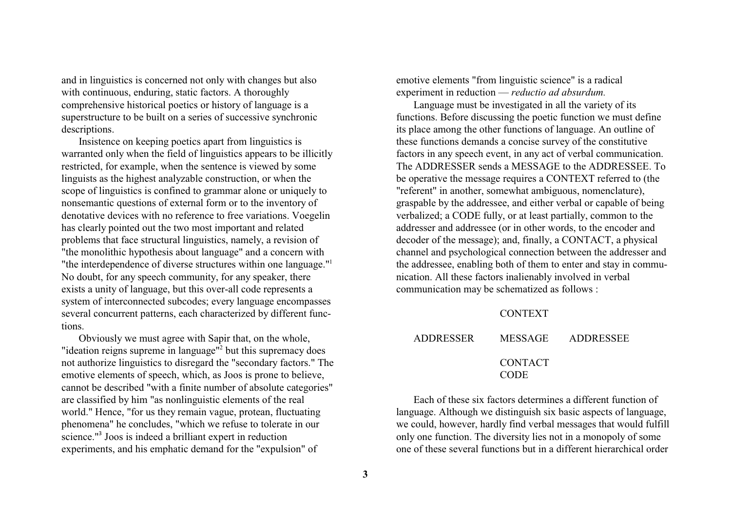and in linguistics is concerned not only with changes but also with continuous, enduring, static factors. A thoroughly comprehensive historical poetics or history of language is a superstructure to be built on a series of successive synchronic descriptions.

Insistence on keeping poetics apart from linguistics is warranted only when the field of linguistics appears to be illicitly restricted, for example, when the sentence is viewed by some linguists as the highest analyzable construction, or when the scope of linguistics is confined to grammar alone or uniquely to nonsemantic questions of external form or to the inventory of denotative devices with no reference to free variations. Voegelin has clearly pointed out the two most important and related problems that face structural linguistics, namely, a revision of "the monolithic hypothesis about language" and a concern with "the interdependence of diverse structures within one language."<sup>1</sup> No doubt, for any speech community, for any speaker, there exists a unity of language, but this over-all code represents a system of interconnected subcodes; every language encompasses several concurrent patterns, each characterized by different functions.

Obviously we must agree with Sapir that, on the whole, "ideation reigns supreme in language"<sup>2</sup> but this supremacy does not authorize linguistics to disregard the "secondary factors." The emotive elements of speech, which, as Joos is prone to believe, cannot be described "with a finite number of absolute categories" are classified by him "as nonlinguistic elements of the real world." Hence, "for us they remain vague, protean, fluctuating phenomena" he concludes, "which we refuse to tolerate in our science."<sup>3</sup> Joos is indeed a brilliant expert in reduction experiments, and his emphatic demand for the "expulsion" of

emotive elements "from linguistic science" is a radical experiment in reduction — *reductio ad absurdum.*

Language must be investigated in all the variety of its functions. Before discussing the poetic function we must define its place among the other functions of language. An outline of these functions demands a concise survey of the constitutive factors in any speech event, in any act of verbal communication. The ADDRESSER sends a MESSAGE to the ADDRESSEE. To be operative the message requires a CONTEXT referred to (the "referent" in another, somewhat ambiguous, nomenclature), graspable by the addressee, and either verbal or capable of being verbalized; a CODE fully, or at least partially, common to the addresser and addressee (or in other words, to the encoder and decoder of the message); and, finally, a CONTACT, a physical channel and psychological connection between the addresser and the addressee, enabling both of them to enter and stay in communication. All these factors inalienably involved in verbal communication may be schematized as follows :

### **CONTEXT**

ADDRESSER MESSAGE ADDRESSEE

#### **CONTACT** CODE

Each of these six factors determines a different function of language. Although we distinguish six basic aspects of language, we could, however, hardly find verbal messages that would fulfill only one function. The diversity lies not in a monopoly of some one of these several functions but in a different hierarchical order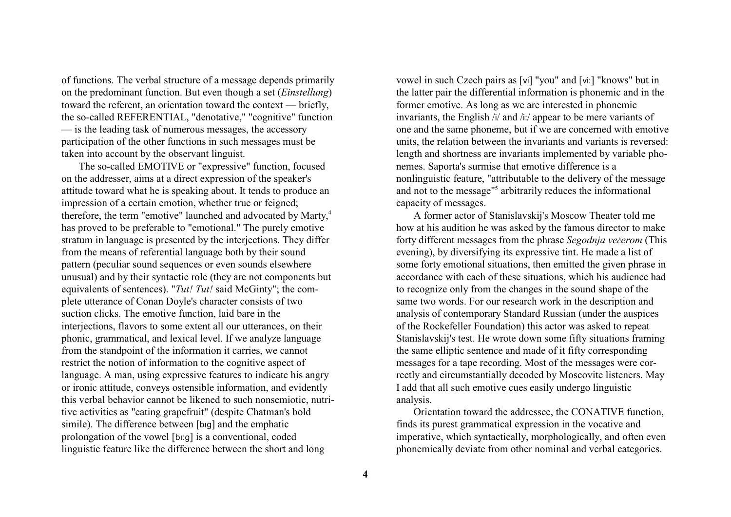of functions. The verbal structure of a message depends primarily on the predominant function. But even though a set (*Einstellung*) toward the referent, an orientation toward the context — briefly, the so-called REFERENTIAL, "denotative," "cognitive" function — is the leading task of numerous messages, the accessory participation of the other functions in such messages must be taken into account by the observant linguist.

The so-called EMOTIVE or "expressive" function, focused on the addresser, aims at a direct expression of the speaker's attitude toward what he is speaking about. It tends to produce an impression of a certain emotion, whether true or feigned; therefore, the term "emotive" launched and advocated by Marty, 4 has proved to be preferable to "emotional." The purely emotive stratum in language is presented by the interjections. They differ from the means of referential language both by their sound pattern (peculiar sound sequences or even sounds elsewhere unusual) and by their syntactic role (they are not components but equivalents of sentences). "*Tut! Tut!* said McGinty"; the complete utterance of Conan Doyle's character consists of two suction clicks. The emotive function, laid bare in the interjections, flavors to some extent all our utterances, on their phonic, grammatical, and lexical level. If we analyze language from the standpoint of the information it carries, we cannot restrict the notion of information to the cognitive aspect of language. A man, using expressive features to indicate his angry or ironic attitude, conveys ostensible information, and evidently this verbal behavior cannot be likened to such nonsemiotic, nutritive activities as "eating grapefruit" (despite Chatman's bold simile). The difference between [big] and the emphatic prolongation of the vowel [bi:q] is a conventional, coded linguistic feature like the difference between the short and long

vowel in such Czech pairs as [vi] "you" and [vi:] "knows" but in the latter pair the differential information is phonemic and in the former emotive. As long as we are interested in phonemic invariants, the English /i/ and /i:/ appear to be mere variants of one and the same phoneme, but if we are concerned with emotive units, the relation between the invariants and variants is reversed: length and shortness are invariants implemented by variable phonemes. Saporta's surmise that emotive difference is a nonlinguistic feature, "attributable to the delivery of the message and not to the message<sup>"</sup> arbitrarily reduces the informational capacity of messages.

A former actor of Stanislavskij's Moscow Theater told me how at his audition he was asked by the famous director to make forty different messages from the phrase *Segodnja veèerom* (This evening), by diversifying its expressive tint. He made a list of some forty emotional situations, then emitted the given phrase in accordance with each of these situations, which his audience had to recognize only from the changes in the sound shape of the same two words. For our research work in the description and analysis of contemporary Standard Russian (under the auspices of the Rockefeller Foundation) this actor was asked to repeat Stanislavskij's test. He wrote down some fifty situations framing the same elliptic sentence and made of it fifty corresponding messages for a tape recording. Most of the messages were correctly and circumstantially decoded by Moscovite listeners. May I add that all such emotive cues easily undergo linguistic analysis.

Orientation toward the addressee, the CONATIVE function, finds its purest grammatical expression in the vocative and imperative, which syntactically, morphologically, and often even phonemically deviate from other nominal and verbal categories.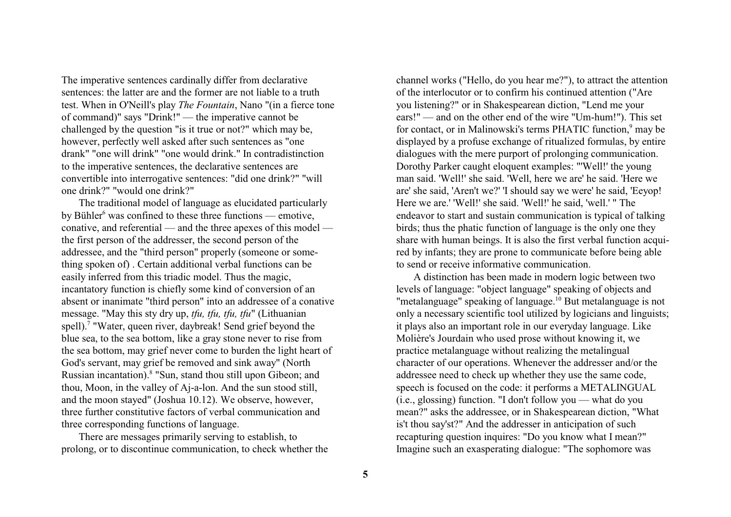The imperative sentences cardinally differ from declarative sentences: the latter are and the former are not liable to a truth test. When in O'Neill's play *The Fountain*, Nano "(in a fierce tone of command)" says "Drink!" — the imperative cannot be challenged by the question "is it true or not?" which may be, however, perfectly well asked after such sentences as "one drank" "one will drink" "one would drink." In contradistinction to the imperative sentences, the declarative sentences are convertible into interrogative sentences: "did one drink?" "will one drink?" "would one drink?"

The traditional model of language as elucidated particularly by Bühler<sup>6</sup> was confined to these three functions — emotive, conative, and referential — and the three apexes of this model the first person of the addresser, the second person of the addressee, and the "third person" properly (someone or something spoken of) . Certain additional verbal functions can be easily inferred from this triadic model. Thus the magic, incantatory function is chiefly some kind of conversion of an absent or inanimate "third person" into an addressee of a conative message. "May this sty dry up, *tfu, tfu, tfu, tfu*" (Lithuanian spell).<sup>7</sup> "Water, queen river, daybreak! Send grief beyond the blue sea, to the sea bottom, like a gray stone never to rise from the sea bottom, may grief never come to burden the light heart of God's servant, may grief be removed and sink away" (North Russian incantation).<sup>8</sup> "Sun, stand thou still upon Gibeon; and thou, Moon, in the valley of Aj-a-lon. And the sun stood still, and the moon stayed" (Joshua 10.12). We observe, however, three further constitutive factors of verbal communication and three corresponding functions of language.

There are messages primarily serving to establish, to prolong, or to discontinue communication, to check whether the

channel works ("Hello, do you hear me?"), to attract the attention of the interlocutor or to confirm his continued attention ("Are you listening?" or in Shakespearean diction, "Lend me your ears!" — and on the other end of the wire "Um-hum!"). This set for contact, or in Malinowski's terms PHATIC function,<sup>9</sup> may be displayed by a profuse exchange of ritualized formulas, by entire dialogues with the mere purport of prolonging communication. Dorothy Parker caught eloquent examples: "'Well!' the young man said. 'Well!' she said. 'Well, here we are' he said. 'Here we are' she said, 'Aren't we?' 'I should say we were' he said, 'Eeyop! Here we are.' 'Well!' she said. 'Well!' he said, 'well.' " The endeavor to start and sustain communication is typical of talking birds; thus the phatic function of language is the only one they share with human beings. It is also the first verbal function acquired by infants; they are prone to communicate before being able to send or receive informative communication.

A distinction has been made in modern logic between two levels of language: "object language" speaking of objects and "metalanguage" speaking of language. $10$  But metalanguage is not only a necessary scientific tool utilized by logicians and linguists; it plays also an important role in our everyday language. Like Molière's Jourdain who used prose without knowing it, we practice metalanguage without realizing the metalingual character of our operations. Whenever the addresser and/or the addressee need to check up whether they use the same code, speech is focused on the code: it performs a METALINGUAL (i.e., glossing) function. "I don't follow you — what do you mean?" asks the addressee, or in Shakespearean diction, "What is't thou say'st?" And the addresser in anticipation of such recapturing question inquires: "Do you know what I mean?" Imagine such an exasperating dialogue: "The sophomore was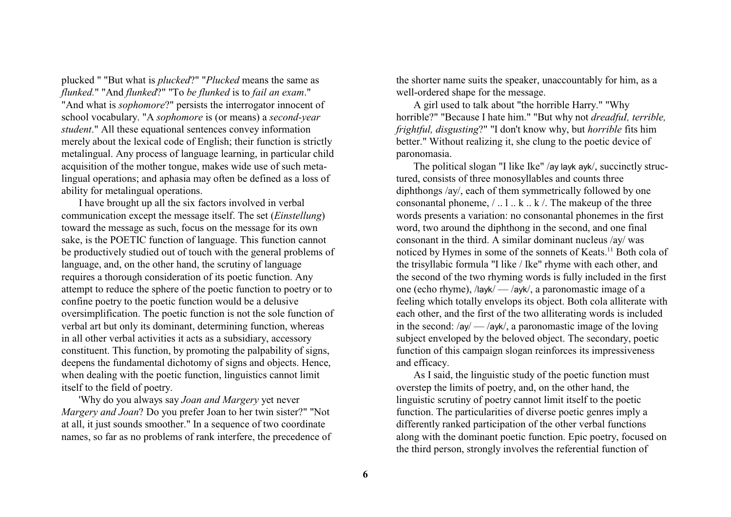plucked " "But what is *plucked*?" "*Plucked* means the same as *flunked.*" "And *flunked*?" "To *be flunked* is to *fail an exam*." "And what is *sophomore*?" persists the interrogator innocent of school vocabulary. "A *sophomore* is (or means) a *second-year student*." All these equational sentences convey information merely about the lexical code of English; their function is strictly metalingual. Any process of language learning, in particular child acquisition of the mother tongue, makes wide use of such metalingual operations; and aphasia may often be defined as a loss of ability for metalingual operations.

I have brought up all the six factors involved in verbal communication except the message itself. The set (*Einstellung*) toward the message as such, focus on the message for its own sake, is the POETIC function of language. This function cannot be productively studied out of touch with the general problems of language, and, on the other hand, the scrutiny of language requires a thorough consideration of its poetic function. Any attempt to reduce the sphere of the poetic function to poetry or to confine poetry to the poetic function would be a delusive oversimplification. The poetic function is not the sole function of verbal art but only its dominant, determining function, whereas in all other verbal activities it acts as a subsidiary, accessory constituent. This function, by promoting the palpability of signs, deepens the fundamental dichotomy of signs and objects. Hence, when dealing with the poetic function, linguistics cannot limit itself to the field of poetry.

'Why do you always say *Joan and Margery* yet never *Margery and Joan*? Do you prefer Joan to her twin sister?" "Not at all, it just sounds smoother." In a sequence of two coordinate names, so far as no problems of rank interfere, the precedence of

the shorter name suits the speaker, unaccountably for him, as a well-ordered shape for the message.

A girl used to talk about "the horrible Harry." "Why horrible?" "Because I hate him." "But why not *dreadfuI, terrible, frightful, disgusting*?" "I don't know why, but *horrible* fits him better." Without realizing it, she clung to the poetic device of paronomasia.

The political slogan "I like Ike" /ay layk ayk/, succinctly structured, consists of three monosyllables and counts three diphthongs /ay/, each of them symmetrically followed by one consonantal phoneme,  $/ \ldots 1 \ldots k \ldots k$ . The makeup of the three words presents a variation: no consonantal phonemes in the first word, two around the diphthong in the second, and one final consonant in the third. A similar dominant nucleus /ay/ was noticed by Hymes in some of the sonnets of Keats.<sup>11</sup> Both cola of the trisyllabic formula "I like / Ike" rhyme with each other, and the second of the two rhyming words is fully included in the first one (echo rhyme), /layk/ — /ayk/, a paronomastic image of a feeling which totally envelops its object. Both cola alliterate with each other, and the first of the two alliterating words is included in the second: /ay/  $-$  /ayk/, a paronomastic image of the loving subject enveloped by the beloved object. The secondary, poetic function of this campaign slogan reinforces its impressiveness and efficacy.

As I said, the linguistic study of the poetic function must overstep the limits of poetry, and, on the other hand, the linguistic scrutiny of poetry cannot limit itself to the poetic function. The particularities of diverse poetic genres imply a differently ranked participation of the other verbal functions along with the dominant poetic function. Epic poetry, focused on the third person, strongly involves the referential function of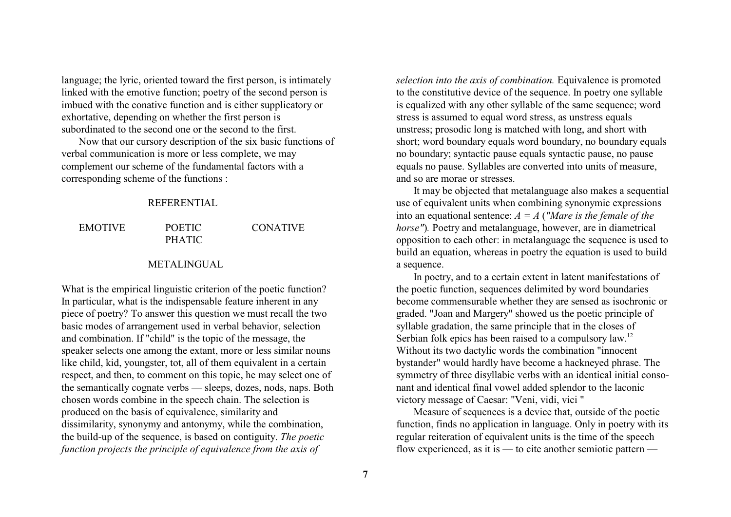language; the lyric, oriented toward the first person, is intimately linked with the emotive function; poetry of the second person is imbued with the conative function and is either supplicatory or exhortative, depending on whether the first person is subordinated to the second one or the second to the first.

Now that our cursory description of the six basic functions of verbal communication is more or less complete, we may complement our scheme of the fundamental factors with a corresponding scheme of the functions :

#### REFERENTIAL

# EMOTIVE POETIC CONATIVE

#### METALINGUAL

PHATIC

What is the empirical linguistic criterion of the poetic function? In particular, what is the indispensable feature inherent in any piece of poetry? To answer this question we must recall the two basic modes of arrangement used in verbal behavior, selection and combination. If "child" is the topic of the message, the speaker selects one among the extant, more or less similar nouns like child, kid, youngster, tot, all of them equivalent in a certain respect, and then, to comment on this topic, he may select one of the semantically cognate verbs — sleeps, dozes, nods, naps. Both chosen words combine in the speech chain. The selection is produced on the basis of equivalence, similarity and dissimilarity, synonymy and antonymy, while the combination, the build-up of the sequence, is based on contiguity. *The poetic function projects the principle of equivalence from the axis of*

*selection into the axis of combination.* Equivalence is promoted to the constitutive device of the sequence. In poetry one syllable is equalized with any other syllable of the same sequence; word stress is assumed to equal word stress, as unstress equals unstress; prosodic long is matched with long, and short with short; word boundary equals word boundary, no boundary equals no boundary; syntactic pause equals syntactic pause, no pause equals no pause. Syllables are converted into units of measure, and so are morae or stresses.

It may be objected that metalanguage also makes a sequential use of equivalent units when combining synonymic expressions into an equational sentence: *A = A* (*"Mare is the female of the horse"*)*.* Poetry and metalanguage, however, are in diametrical opposition to each other: in metalanguage the sequence is used to build an equation, whereas in poetry the equation is used to build a sequence.

In poetry, and to a certain extent in latent manifestations of the poetic function, sequences delimited by word boundaries become commensurable whether they are sensed as isochronic or graded. "Joan and Margery" showed us the poetic principle of syllable gradation, the same principle that in the closes of Serbian folk epics has been raised to a compulsory law.<sup>12</sup> Without its two dactylic words the combination "innocent bystander" would hardly have become a hackneyed phrase. The symmetry of three disyllabic verbs with an identical initial consonant and identical final vowel added splendor to the laconic victory message of Caesar: "Veni, vidi, vici "

Measure of sequences is a device that, outside of the poetic function, finds no application in language. Only in poetry with its regular reiteration of equivalent units is the time of the speech flow experienced, as it is — to cite another semiotic pattern —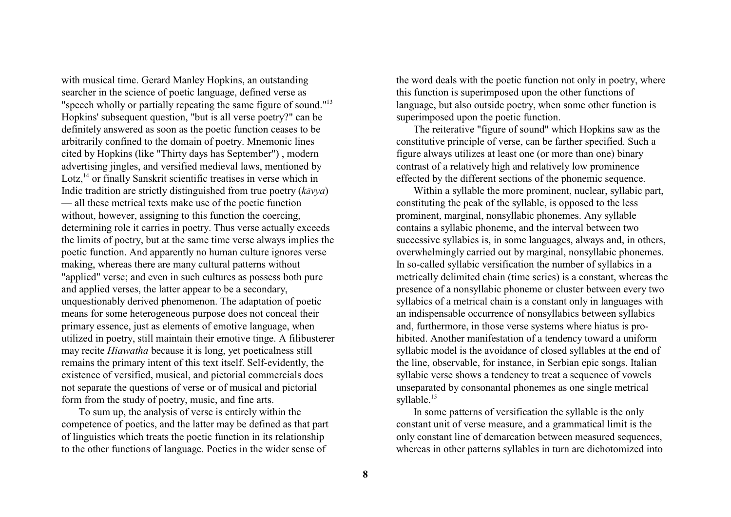with musical time. Gerard Manley Hopkins, an outstanding searcher in the science of poetic language, defined verse as "speech wholly or partially repeating the same figure of sound."<sup>13</sup> Hopkins' subsequent question, "but is all verse poetry?" can be definitely answered as soon as the poetic function ceases to be arbitrarily confined to the domain of poetry. Mnemonic lines cited by Hopkins (like "Thirty days has September") , modern advertising jingles, and versified medieval laws, mentioned by Lotz, $^{14}$  or finally Sanskrit scientific treatises in verse which in Indic tradition are strictly distinguished from true poetry (*kâvya*) — all these metrical texts make use of the poetic function without, however, assigning to this function the coercing, determining role it carries in poetry. Thus verse actually exceeds the limits of poetry, but at the same time verse always implies the poetic function. And apparently no human culture ignores verse making, whereas there are many cultural patterns without "applied" verse; and even in such cultures as possess both pure and applied verses, the latter appear to be a secondary, unquestionably derived phenomenon. The adaptation of poetic means for some heterogeneous purpose does not conceal their primary essence, just as elements of emotive language, when utilized in poetry, still maintain their emotive tinge. A filibusterer may recite *Hiawatha* because it is long, yet poeticalness still remains the primary intent of this text itself. Self-evidently, the existence of versified, musical, and pictorial commercials does not separate the questions of verse or of musical and pictorial form from the study of poetry, music, and fine arts.

To sum up, the analysis of verse is entirely within the competence of poetics, and the latter may be defined as that part of linguistics which treats the poetic function in its relationship to the other functions of language. Poetics in the wider sense of

the word deals with the poetic function not only in poetry, where this function is superimposed upon the other functions of language, but also outside poetry, when some other function is superimposed upon the poetic function.

The reiterative "figure of sound" which Hopkins saw as the constitutive principle of verse, can be farther specified. Such a figure always utilizes at least one (or more than one) binary contrast of a relatively high and relatively low prominence effected by the different sections of the phonemic sequence.

Within a syllable the more prominent, nuclear, syllabic part, constituting the peak of the syllable, is opposed to the less prominent, marginal, nonsyllabic phonemes. Any syllable contains a syllabic phoneme, and the interval between two successive syllabics is, in some languages, always and, in others, overwhelmingly carried out by marginal, nonsyllabic phonemes. In so-called syllabic versification the number of syllabics in a metrically delimited chain (time series) is a constant, whereas the presence of a nonsyllabic phoneme or cluster between every two syllabics of a metrical chain is a constant only in languages with an indispensable occurrence of nonsyllabics between syllabics and, furthermore, in those verse systems where hiatus is prohibited. Another manifestation of a tendency toward a uniform syllabic model is the avoidance of closed syllables at the end of the line, observable, for instance, in Serbian epic songs. Italian syllabic verse shows a tendency to treat a sequence of vowels unseparated by consonantal phonemes as one single metrical syllable.<sup>15</sup>

In some patterns of versification the syllable is the only constant unit of verse measure, and a grammatical limit is the only constant line of demarcation between measured sequences, whereas in other patterns syllables in turn are dichotomized into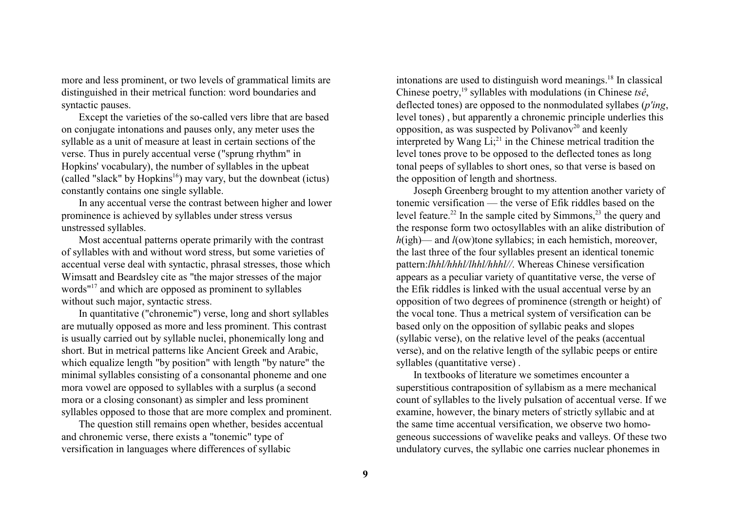more and less prominent, or two levels of grammatical limits are distinguished in their metrical function: word boundaries and syntactic pauses.

Except the varieties of the so-called vers libre that are based on conjugate intonations and pauses only, any meter uses the syllable as a unit of measure at least in certain sections of the verse. Thus in purely accentual verse ("sprung rhythm" in Hopkins' vocabulary), the number of syllables in the upbeat (called "slack" by Hopkins<sup>16</sup>) may vary, but the downbeat (ictus) constantly contains one single syllable.

In any accentual verse the contrast between higher and lower prominence is achieved by syllables under stress versus unstressed syllables.

Most accentual patterns operate primarily with the contrast of syllables with and without word stress, but some varieties of accentual verse deal with syntactic, phrasal stresses, those which Wimsatt and Beardsley cite as "the major stresses of the major words" $17$  and which are opposed as prominent to syllables without such major, syntactic stress.

In quantitative ("chronemic") verse, long and short syllables are mutually opposed as more and less prominent. This contrast is usually carried out by syllable nuclei, phonemically long and short. But in metrical patterns like Ancient Greek and Arabic, which equalize length "by position" with length "by nature" the minimal syllables consisting of a consonantal phoneme and one mora vowel are opposed to syllables with a surplus (a second mora or a closing consonant) as simpler and less prominent syllables opposed to those that are more complex and prominent.

The question still remains open whether, besides accentual and chronemic verse, there exists a "tonemic" type of versification in languages where differences of syllabic

intonations are used to distinguish word meanings.<sup>18</sup> In classical Chinese poetry,<sup>19</sup> syllables with modulations (in Chinese  $ts\hat{e}$ , deflected tones) are opposed to the nonmodulated syllabes (*p'ing*, level tones) , but apparently a chronemic principle underlies this opposition, as was suspected by Polivanov<sup>20</sup> and keenly interpreted by Wang  $Li^{21}$  in the Chinese metrical tradition the level tones prove to be opposed to the deflected tones as long tonal peeps of syllables to short ones, so that verse is based on the opposition of length and shortness.

Joseph Greenberg brought to my attention another variety of tonemic versification — the verse of Efik riddles based on the level feature.<sup>22</sup> In the sample cited by Simmons, $^{23}$  the query and the response form two octosyllables with an alike distribution of *h*(igh)— and *l*(ow)tone syllabics; in each hemistich, moreover, the last three of the four syllables present an identical tonemic pattern:*lhhl/hhhl/lhhl/hhhl//*. Whereas Chinese versification appears as a peculiar variety of quantitative verse, the verse of the Efik riddles is linked with the usual accentual verse by an opposition of two degrees of prominence (strength or height) of the vocal tone. Thus a metrical system of versification can be based only on the opposition of syllabic peaks and slopes (syllabic verse), on the relative level of the peaks (accentual verse), and on the relative length of the syllabic peeps or entire syllables (quantitative verse) .

In textbooks of literature we sometimes encounter a superstitious contraposition of syllabism as a mere mechanical count of syllables to the lively pulsation of accentual verse. If we examine, however, the binary meters of strictly syllabic and at the same time accentual versification, we observe two homogeneous successions of wavelike peaks and valleys. Of these two undulatory curves, the syllabic one carries nuclear phonemes in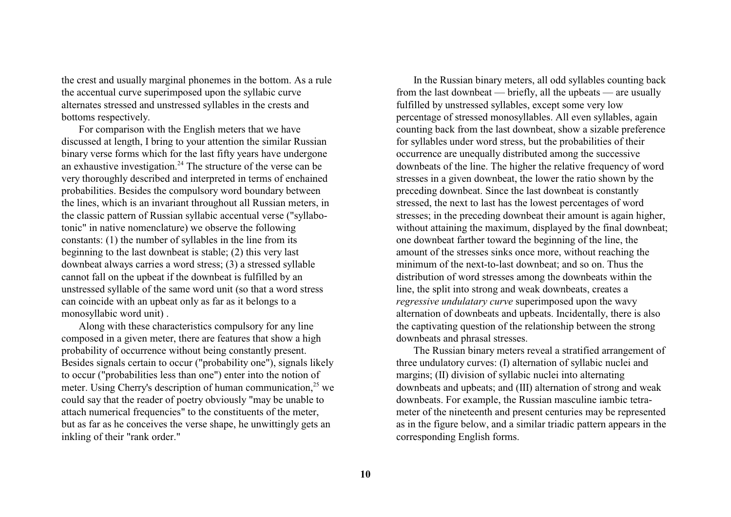the crest and usually marginal phonemes in the bottom. As a rule the accentual curve superimposed upon the syllabic curve alternates stressed and unstressed syllables in the crests and bottoms respectively.

For comparison with the English meters that we have discussed at length, I bring to your attention the similar Russian binary verse forms which for the last fifty years have undergone an exhaustive investigation.<sup>24</sup> The structure of the verse can be very thoroughly described and interpreted in terms of enchained probabilities. Besides the compulsory word boundary between the lines, which is an invariant throughout all Russian meters, in the classic pattern of Russian syllabic accentual verse ("syllabotonic" in native nomenclature) we observe the following constants: (1) the number of syllables in the line from its beginning to the last downbeat is stable; (2) this very last downbeat always carries a word stress; (3) a stressed syllable cannot fall on the upbeat if the downbeat is fulfilled by an unstressed syllable of the same word unit (so that a word stress can coincide with an upbeat only as far as it belongs to a monosyllabic word unit) .

Along with these characteristics compulsory for any line composed in a given meter, there are features that show a high probability of occurrence without being constantly present. Besides signals certain to occur ("probability one"), signals likely to occur ("probabilities less than one") enter into the notion of meter. Using Cherry's description of human communication, $^{25}$  we could say that the reader of poetry obviously "may be unable to attach numerical frequencies" to the constituents of the meter, but as far as he conceives the verse shape, he unwittingly gets an inkling of their "rank order."

In the Russian binary meters, all odd syllables counting back from the last downbeat — briefly, all the upbeats — are usually fulfilled by unstressed syllables, except some very low percentage of stressed monosyllables. All even syllables, again counting back from the last downbeat, show a sizable preference for syllables under word stress, but the probabilities of their occurrence are unequally distributed among the successive downbeats of the line. The higher the relative frequency of word stresses in a given downbeat, the lower the ratio shown by the preceding downbeat. Since the last downbeat is constantly stressed, the next to last has the lowest percentages of word stresses; in the preceding downbeat their amount is again higher, without attaining the maximum, displayed by the final downbeat; one downbeat farther toward the beginning of the line, the amount of the stresses sinks once more, without reaching the minimum of the next-to-last downbeat; and so on. Thus the distribution of word stresses among the downbeats within the line, the split into strong and weak downbeats, creates a *regressive undulatary curve* superimposed upon the wavy alternation of downbeats and upbeats. Incidentally, there is also the captivating question of the relationship between the strong downbeats and phrasal stresses.

The Russian binary meters reveal a stratified arrangement of three undulatory curves: (I) alternation of syllabic nuclei and margins; (II) division of syllabic nuclei into alternating downbeats and upbeats; and (III) alternation of strong and weak downbeats. For example, the Russian masculine iambic tetrameter of the nineteenth and present centuries may be represented as in the figure below, and a similar triadic pattern appears in the corresponding English forms.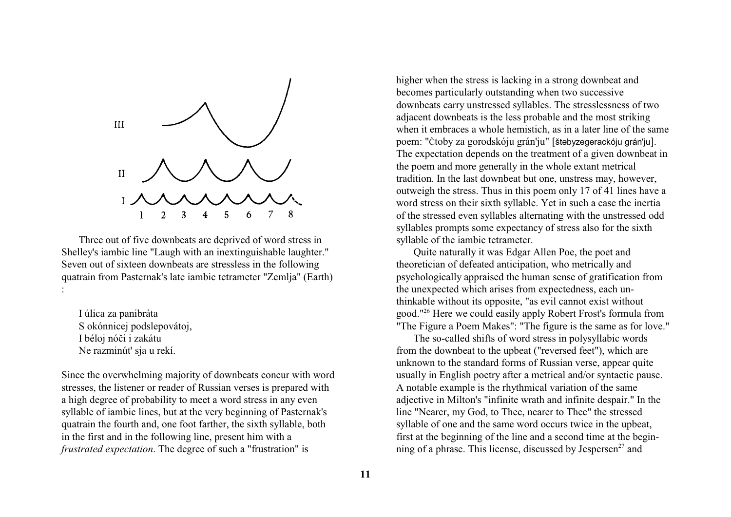

Three out of five downbeats are deprived of word stress in Shelley's iambic line "Laugh with an inextinguishable laughter." Seven out of sixteen downbeats are stressless in the following quatrain from Pasternak's late iambic tetrameter "Zemlja" (Earth) :

I úlica za panibráta S okónnicej podslepovátoj, I béloj nóèi i zakátu Ne razminút' sja u rekí.

Since the overwhelming majority of downbeats concur with word stresses, the listener or reader of Russian verses is prepared with a high degree of probability to meet a word stress in any even syllable of iambic lines, but at the very beginning of Pasternak's quatrain the fourth and, one foot farther, the sixth syllable, both in the first and in the following line, present him with a *frustrated expectation*. The degree of such a "frustration" is

higher when the stress is lacking in a strong downbeat and becomes particularly outstanding when two successive downbeats carry unstressed syllables. The stresslessness of two adjacent downbeats is the less probable and the most striking when it embraces a whole hemistich, as in a later line of the same poem: "Čtoby za gorodskóju grán'ju" [štəbyzegerackóju grán'ju]. The expectation depends on the treatment of a given downbeat in the poem and more generally in the whole extant metrical tradition. In the last downbeat but one, unstress may, however, outweigh the stress. Thus in this poem only 17 of 41 lines have a word stress on their sixth syllable. Yet in such a case the inertia of the stressed even syllables alternating with the unstressed odd syllables prompts some expectancy of stress also for the sixth syllable of the iambic tetrameter.

Quite naturally it was Edgar Allen Poe, the poet and theoretician of defeated anticipation, who metrically and psychologically appraised the human sense of gratification from the unexpected which arises from expectedness, each unthinkable without its opposite, "as evil cannot exist without good."<sup>26</sup> Here we could easily apply Robert Frost's formula from "The Figure a Poem Makes": "The figure is the same as for love."

The so-called shifts of word stress in polysyllabic words from the downbeat to the upbeat ("reversed feet"), which are unknown to the standard forms of Russian verse, appear quite usually in English poetry after a metrical and/or syntactic pause. A notable example is the rhythmical variation of the same adjective in Milton's "infinite wrath and infinite despair." In the line "Nearer, my God, to Thee, nearer to Thee" the stressed syllable of one and the same word occurs twice in the upbeat, first at the beginning of the line and a second time at the beginning of a phrase. This license, discussed by Jespersen<sup>27</sup> and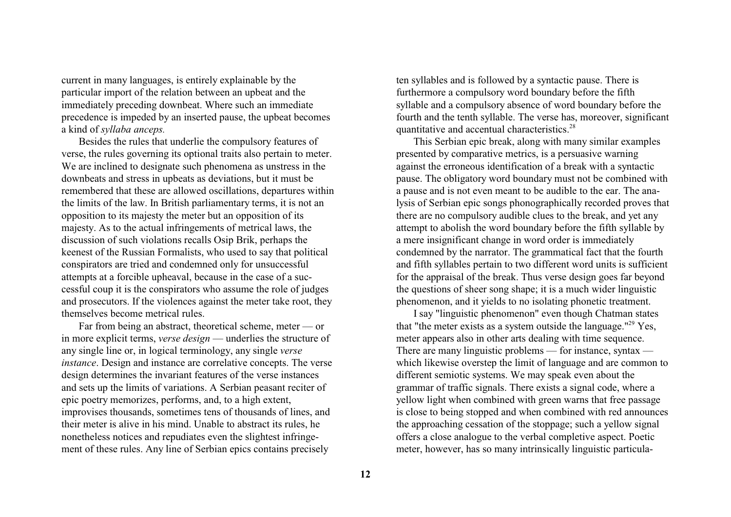current in many languages, is entirely explainable by the particular import of the relation between an upbeat and the immediately preceding downbeat. Where such an immediate precedence is impeded by an inserted pause, the upbeat becomes a kind of *syllaba anceps.*

Besides the rules that underlie the compulsory features of verse, the rules governing its optional traits also pertain to meter. We are inclined to designate such phenomena as unstress in the downbeats and stress in upbeats as deviations, but it must be remembered that these are allowed oscillations, departures within the limits of the law. In British parliamentary terms, it is not an opposition to its majesty the meter but an opposition of its majesty. As to the actual infringements of metrical laws, the discussion of such violations recalls Osip Brik, perhaps the keenest of the Russian Formalists, who used to say that political conspirators are tried and condemned only for unsuccessful attempts at a forcible upheaval, because in the case of a successful coup it is the conspirators who assume the role of judges and prosecutors. If the violences against the meter take root, they themselves become metrical rules.

Far from being an abstract, theoretical scheme, meter — or in more explicit terms, *verse design* — underlies the structure of any single line or, in logical terminology, any single *verse instance*. Design and instance are correlative concepts. The verse design determines the invariant features of the verse instances and sets up the limits of variations. A Serbian peasant reciter of epic poetry memorizes, performs, and, to a high extent, improvises thousands, sometimes tens of thousands of lines, and their meter is alive in his mind. Unable to abstract its rules, he nonetheless notices and repudiates even the slightest infringement of these rules. Any line of Serbian epics contains precisely

ten syllables and is followed by a syntactic pause. There is furthermore a compulsory word boundary before the fifth syllable and a compulsory absence of word boundary before the fourth and the tenth syllable. The verse has, moreover, significant quantitative and accentual characteristics.<sup>28</sup>

This Serbian epic break, along with many similar examples presented by comparative metrics, is a persuasive warning against the erroneous identification of a break with a syntactic pause. The obligatory word boundary must not be combined with a pause and is not even meant to be audible to the ear. The analysis of Serbian epic songs phonographically recorded proves that there are no compulsory audible clues to the break, and yet any attempt to abolish the word boundary before the fifth syllable by a mere insignificant change in word order is immediately condemned by the narrator. The grammatical fact that the fourth and fifth syllables pertain to two different word units is sufficient for the appraisal of the break. Thus verse design goes far beyond the questions of sheer song shape; it is a much wider linguistic phenomenon, and it yields to no isolating phonetic treatment.

I say "linguistic phenomenon" even though Chatman states that "the meter exists as a system outside the language."<sup>29</sup> Yes, meter appears also in other arts dealing with time sequence. There are many linguistic problems — for instance, syntax which likewise overstep the limit of language and are common to different semiotic systems. We may speak even about the grammar of traffic signals. There exists a signal code, where a yellow light when combined with green warns that free passage is close to being stopped and when combined with red announces the approaching cessation of the stoppage; such a yellow signal offers a close analogue to the verbal completive aspect. Poetic meter, however, has so many intrinsically linguistic particula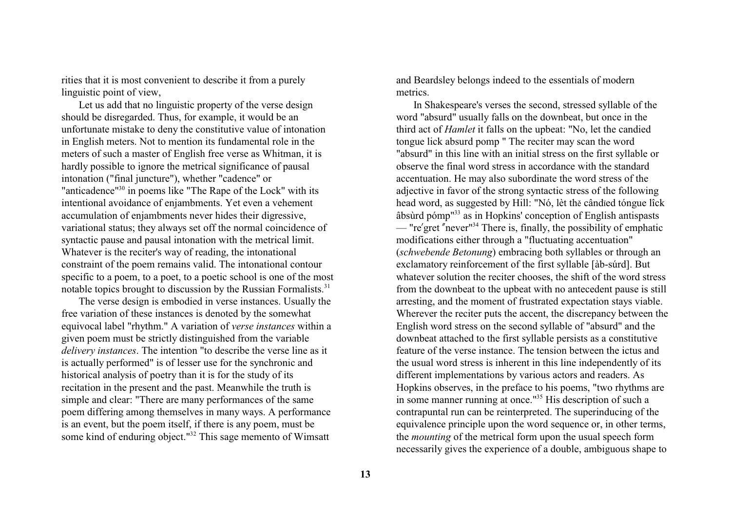rities that it is most convenient to describe it from a purely linguistic point of view,

Let us add that no linguistic property of the verse design should be disregarded. Thus, for example, it would be an unfortunate mistake to deny the constitutive value of intonation in English meters. Not to mention its fundamental role in the meters of such a master of English free verse as Whitman, it is hardly possible to ignore the metrical significance of pausal intonation ("final juncture"), whether "cadence" or "anticadence" $30$  in poems like "The Rape of the Lock" with its intentional avoidance of enjambments. Yet even a vehement accumulation of enjambments never hides their digressive, variational status; they always set off the normal coincidence of syntactic pause and pausal intonation with the metrical limit. Whatever is the reciter's way of reading, the intonational constraint of the poem remains valid. The intonational contour specific to a poem, to a poet, to a poetic school is one of the most notable topics brought to discussion by the Russian Formalists.<sup>31</sup>

The verse design is embodied in verse instances. Usually the free variation of these instances is denoted by the somewhat equivocal label "rhythm." A variation of *verse instances* within a given poem must be strictly distinguished from the variable *delivery instances*. The intention "to describe the verse line as it is actually performed" is of lesser use for the synchronic and historical analysis of poetry than it is for the study of its recitation in the present and the past. Meanwhile the truth is simple and clear: "There are many performances of the same poem differing among themselves in many ways. A performance is an event, but the poem itself, if there is any poem, must be some kind of enduring object." $32$  This sage memento of Wimsatt

and Beardsley belongs indeed to the essentials of modern metrics.

In Shakespeare's verses the second, stressed syllable of the word "absurd" usually falls on the downbeat, but once in the third act of *Hamlet* it falls on the upbeat: "No, let the candied tongue lick absurd pomp " The reciter may scan the word "absurd" in this line with an initial stress on the first syllable or observe the final word stress in accordance with the standard accentuation. He may also subordinate the word stress of the adjective in favor of the strong syntactic stress of the following head word, as suggested by Hill: "Nó, lèt thě cândied tóngue lîck âbsùrd pómp $\frac{133}{3}$  as in Hopkins' conception of English antispasts — "re'gret "never"<sup>34</sup> There is, finally, the possibility of emphatic modifications either through a "fluctuating accentuation" (*schwebende Betonung*) embracing both syllables or through an exclamatory reinforcement of the first syllable [àb-súrd]. But whatever solution the reciter chooses, the shift of the word stress from the downbeat to the upbeat with no antecedent pause is still arresting, and the moment of frustrated expectation stays viable. Wherever the reciter puts the accent, the discrepancy between the English word stress on the second syllable of "absurd" and the downbeat attached to the first syllable persists as a constitutive feature of the verse instance. The tension between the ictus and the usual word stress is inherent in this line independently of its different implementations by various actors and readers. As Hopkins observes, in the preface to his poems, "two rhythms are in some manner running at once." $35$  His description of such a contrapuntal run can be reinterpreted. The superinducing of the equivalence principle upon the word sequence or, in other terms, the *mounting* of the metrical form upon the usual speech form necessarily gives the experience of a double, ambiguous shape to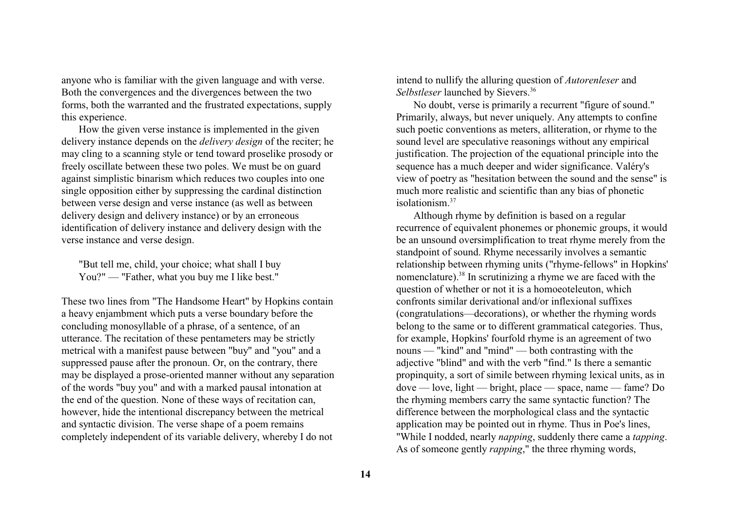anyone who is familiar with the given language and with verse. Both the convergences and the divergences between the two forms, both the warranted and the frustrated expectations, supply this experience.

How the given verse instance is implemented in the given delivery instance depends on the *delivery design* of the reciter; he may cling to a scanning style or tend toward proselike prosody or freely oscillate between these two poles. We must be on guard against simplistic binarism which reduces two couples into one single opposition either by suppressing the cardinal distinction between verse design and verse instance (as well as between delivery design and delivery instance) or by an erroneous identification of delivery instance and delivery design with the verse instance and verse design.

"But tell me, child, your choice; what shall I buy You?" — "Father, what you buy me I like best."

These two lines from "The Handsome Heart" by Hopkins contain a heavy enjambment which puts a verse boundary before the concluding monosyllable of a phrase, of a sentence, of an utterance. The recitation of these pentameters may be strictly metrical with a manifest pause between "buy" and "you" and a suppressed pause after the pronoun. Or, on the contrary, there may be displayed a prose-oriented manner without any separation of the words "buy you" and with a marked pausal intonation at the end of the question. None of these ways of recitation can, however, hide the intentional discrepancy between the metrical and syntactic division. The verse shape of a poem remains completely independent of its variable delivery, whereby I do not

intend to nullify the alluring question of *Autorenleser* and *Selbstleser* launched by Sievers.<sup>36</sup>

No doubt, verse is primarily a recurrent "figure of sound." Primarily, always, but never uniquely. Any attempts to confine such poetic conventions as meters, alliteration, or rhyme to the sound level are speculative reasonings without any empirical justification. The projection of the equational principle into the sequence has a much deeper and wider significance. Valéry's view of poetry as "hesitation between the sound and the sense" is much more realistic and scientific than any bias of phonetic isolationism. 37

Although rhyme by definition is based on a regular recurrence of equivalent phonemes or phonemic groups, it would be an unsound oversimplification to treat rhyme merely from the standpoint of sound. Rhyme necessarily involves a semantic relationship between rhyming units ("rhyme-fellows" in Hopkins' nomenclature). $38$  In scrutinizing a rhyme we are faced with the question of whether or not it is a homoeoteleuton, which confronts similar derivational and/or inflexional suffixes (congratulations—decorations), or whether the rhyming words belong to the same or to different grammatical categories. Thus, for example, Hopkins' fourfold rhyme is an agreement of two nouns — "kind" and "mind" — both contrasting with the adjective "blind" and with the verb "find." Is there a semantic propinquity, a sort of simile between rhyming lexical units, as in dove — love, light — bright, place — space, name — fame? Do the rhyming members carry the same syntactic function? The difference between the morphological class and the syntactic application may be pointed out in rhyme. Thus in Poe's lines, "While I nodded, nearly *napping*, suddenly there came a *tapping*. As of someone gently *rapping*," the three rhyming words,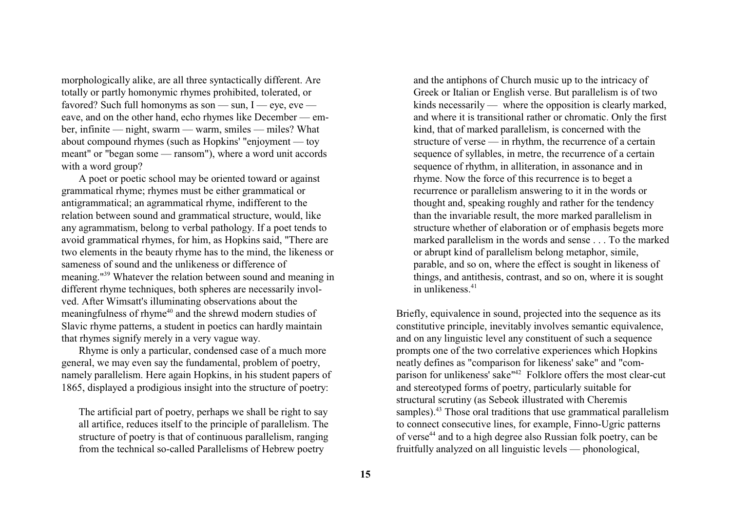morphologically alike, are all three syntactically different. Are totally or partly homonymic rhymes prohibited, tolerated, or favored? Such full homonyms as son — sun, I — eye, eve eave, and on the other hand, echo rhymes like December — ember, infinite — night, swarm — warm, smiles — miles? What about compound rhymes (such as Hopkins' "enjoyment — toy meant" or "began some — ransom"), where a word unit accords with a word group?

A poet or poetic school may be oriented toward or against grammatical rhyme; rhymes must be either grammatical or antigrammatical; an agrammatical rhyme, indifferent to the relation between sound and grammatical structure, would, like any agrammatism, belong to verbal pathology. If a poet tends to avoid grammatical rhymes, for him, as Hopkins said, "There are two elements in the beauty rhyme has to the mind, the likeness or sameness of sound and the unlikeness or difference of meaning."<sup>39</sup> Whatever the relation between sound and meaning in different rhyme techniques, both spheres are necessarily involved. After Wimsatt's illuminating observations about the meaningfulness of rhyme $40$  and the shrewd modern studies of Slavic rhyme patterns, a student in poetics can hardly maintain that rhymes signify merely in a very vague way.

Rhyme is only a particular, condensed case of a much more general, we may even say the fundamental, problem of poetry, namely parallelism. Here again Hopkins, in his student papers of 1865, displayed a prodigious insight into the structure of poetry:

The artificial part of poetry, perhaps we shall be right to say all artifice, reduces itself to the principle of parallelism. The structure of poetry is that of continuous parallelism, ranging from the technical so-called Parallelisms of Hebrew poetry

and the antiphons of Church music up to the intricacy of Greek or Italian or English verse. But parallelism is of two kinds necessarily — where the opposition is clearly marked, and where it is transitional rather or chromatic. Only the first kind, that of marked parallelism, is concerned with the structure of verse — in rhythm, the recurrence of a certain sequence of syllables, in metre, the recurrence of a certain sequence of rhythm, in alliteration, in assonance and in rhyme. Now the force of this recurrence is to beget a recurrence or parallelism answering to it in the words or thought and, speaking roughly and rather for the tendency than the invariable result, the more marked parallelism in structure whether of elaboration or of emphasis begets more marked parallelism in the words and sense . . . To the marked or abrupt kind of parallelism belong metaphor, simile, parable, and so on, where the effect is sought in likeness of things, and antithesis, contrast, and so on, where it is sought  $in$  unlikeness  $41$ 

Briefly, equivalence in sound, projected into the sequence as its constitutive principle, inevitably involves semantic equivalence, and on any linguistic level any constituent of such a sequence prompts one of the two correlative experiences which Hopkins neatly defines as "comparison for likeness' sake" and "comparison for unlikeness' sake" $42$  Folklore offers the most clear-cut and stereotyped forms of poetry, particularly suitable for structural scrutiny (as Sebeok illustrated with Cheremis samples). $43$  Those oral traditions that use grammatical parallelism to connect consecutive lines, for example, Finno-Ugric patterns of verse<sup>44</sup> and to a high degree also Russian folk poetry, can be fruitfully analyzed on all linguistic levels — phonological,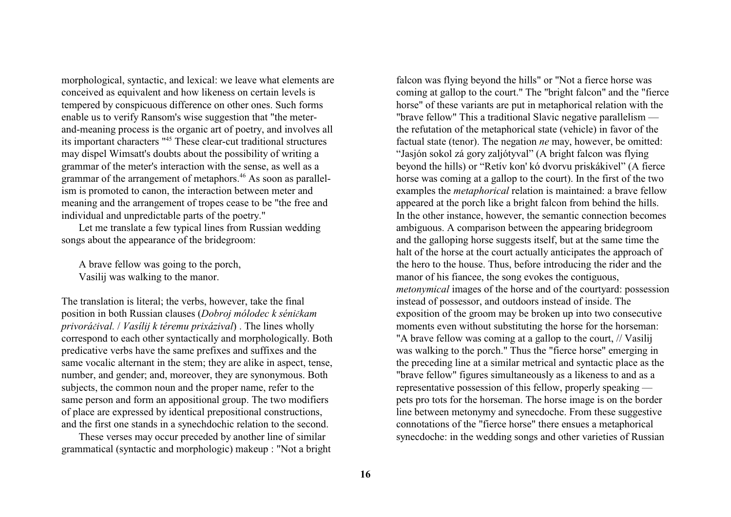morphological, syntactic, and lexical: we leave what elements are conceived as equivalent and how likeness on certain levels is tempered by conspicuous difference on other ones. Such forms enable us to verify Ransom's wise suggestion that "the meterand-meaning process is the organic art of poetry, and involves all its important characters "<sup>45</sup> These clear-cut traditional structures may dispel Wimsatt's doubts about the possibility of writing a grammar of the meter's interaction with the sense, as well as a grammar of the arrangement of metaphors.<sup>46</sup> As soon as parallelism is promoted to canon, the interaction between meter and meaning and the arrangement of tropes cease to be "the free and individual and unpredictable parts of the poetry."

Let me translate a few typical lines from Russian wedding songs about the appearance of the bridegroom:

A brave fellow was going to the porch, Vasilij was walking to the manor.

The translation is literal; the verbs, however, take the final position in both Russian clauses (*Dobroj mólodec k sénièkam privoráèival.* / *Vasílij k téremu prixázival*) . The lines wholly correspond to each other syntactically and morphologically. Both predicative verbs have the same prefixes and suffixes and the same vocalic alternant in the stem; they are alike in aspect, tense, number, and gender; and, moreover, they are synonymous. Both subjects, the common noun and the proper name, refer to the same person and form an appositional group. The two modifiers of place are expressed by identical prepositional constructions, and the first one stands in a synechdochic relation to the second.

These verses may occur preceded by another line of similar grammatical (syntactic and morphologic) makeup : "Not a bright falcon was flying beyond the hills" or "Not a fierce horse was coming at gallop to the court." The "bright falcon" and the "fierce horse" of these variants are put in metaphorical relation with the "brave fellow" This a traditional Slavic negative parallelism the refutation of the metaphorical state (vehicle) in favor of the factual state (tenor). The negation *ne* may, however, be omitted: "Jasjón sokol zá gory zaljótyval" (A bright falcon was flying beyond the hills) or "Retív kon' kó dvorvu priskákivel" (A fierce horse was coming at a gallop to the court). In the first of the two examples the *metaphorical* relation is maintained: a brave fellow appeared at the porch like a bright falcon from behind the hills. In the other instance, however, the semantic connection becomes ambiguous. A comparison between the appearing bridegroom and the galloping horse suggests itself, but at the same time the halt of the horse at the court actually anticipates the approach of the hero to the house. Thus, before introducing the rider and the manor of his fiancee, the song evokes the contiguous, *metonymical* images of the horse and of the courtyard: possession instead of possessor, and outdoors instead of inside. The exposition of the groom may be broken up into two consecutive moments even without substituting the horse for the horseman: "A brave fellow was coming at a gallop to the court, // Vasilij was walking to the porch." Thus the "fierce horse" emerging in the preceding line at a similar metrical and syntactic place as the "brave fellow" figures simultaneously as a likeness to and as a representative possession of this fellow, properly speaking pets pro tots for the horseman. The horse image is on the border line between metonymy and synecdoche. From these suggestive connotations of the "fierce horse" there ensues a metaphorical synecdoche: in the wedding songs and other varieties of Russian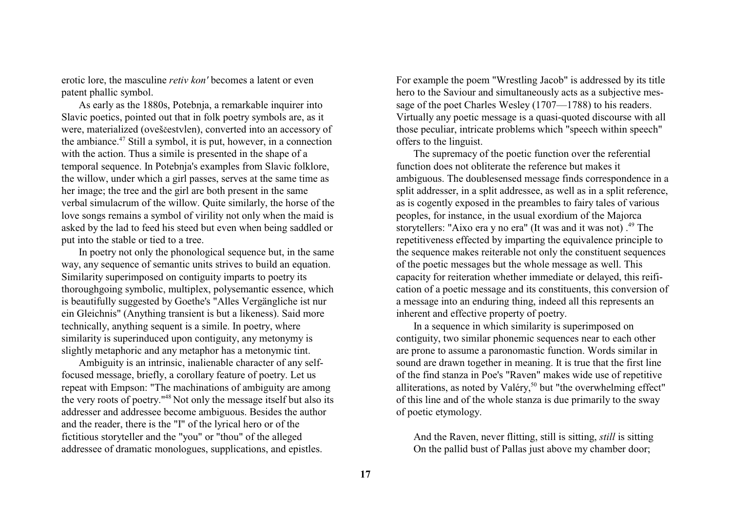erotic lore, the masculine *retiv kon'* becomes a latent or even patent phallic symbol.

As early as the 1880s, Potebnja, a remarkable inquirer into Slavic poetics, pointed out that in folk poetry symbols are, as it were, materialized (ovešèestvlen), converted into an accessory of the ambiance.<sup> $47$ </sup> Still a symbol, it is put, however, in a connection with the action. Thus a simile is presented in the shape of a temporal sequence. In Potebnja's examples from Slavic folklore, the willow, under which a girl passes, serves at the same time as her image; the tree and the girl are both present in the same verbal simulacrum of the willow. Quite similarly, the horse of the love songs remains a symbol of virility not only when the maid is asked by the lad to feed his steed but even when being saddled or put into the stable or tied to a tree.

In poetry not only the phonological sequence but, in the same way, any sequence of semantic units strives to build an equation. Similarity superimposed on contiguity imparts to poetry its thoroughgoing symbolic, multiplex, polysemantic essence, which is beautifully suggested by Goethe's "Alles Vergängliche ist nur ein Gleichnis" (Anything transient is but a likeness). Said more technically, anything sequent is a simile. In poetry, where similarity is superinduced upon contiguity, any metonymy is slightly metaphoric and any metaphor has a metonymic tint.

Ambiguity is an intrinsic, inalienable character of any selffocused message, briefly, a corollary feature of poetry. Let us repeat with Empson: "The machinations of ambiguity are among the very roots of poetry."<sup>48</sup> Not only the message itself but also its addresser and addressee become ambiguous. Besides the author and the reader, there is the "I" of the lyrical hero or of the fictitious storyteller and the "you" or "thou" of the alleged addressee of dramatic monologues, supplications, and epistles.

For example the poem "Wrestling Jacob" is addressed by its title hero to the Saviour and simultaneously acts as a subjective message of the poet Charles Wesley (1707—1788) to his readers. Virtually any poetic message is a quasi-quoted discourse with all those peculiar, intricate problems which "speech within speech" offers to the linguist.

The supremacy of the poetic function over the referential function does not obliterate the reference but makes it ambiguous. The doublesensed message finds correspondence in a split addresser, in a split addressee, as well as in a split reference, as is cogently exposed in the preambles to fairy tales of various peoples, for instance, in the usual exordium of the Majorca storytellers: "Aixo era y no era" (It was and it was not).  $49$  The repetitiveness effected by imparting the equivalence principle to the sequence makes reiterable not only the constituent sequences of the poetic messages but the whole message as well. This capacity for reiteration whether immediate or delayed, this reification of a poetic message and its constituents, this conversion of a message into an enduring thing, indeed all this represents an inherent and effective property of poetry.

In a sequence in which similarity is superimposed on contiguity, two similar phonemic sequences near to each other are prone to assume a paronomastic function. Words similar in sound are drawn together in meaning. It is true that the first line of the find stanza in Poe's "Raven" makes wide use of repetitive alliterations, as noted by Valéry,<sup>50</sup> but "the overwhelming effect" of this line and of the whole stanza is due primarily to the sway of poetic etymology.

And the Raven, never flitting, still is sitting, *still* is sitting On the pallid bust of Pallas just above my chamber door;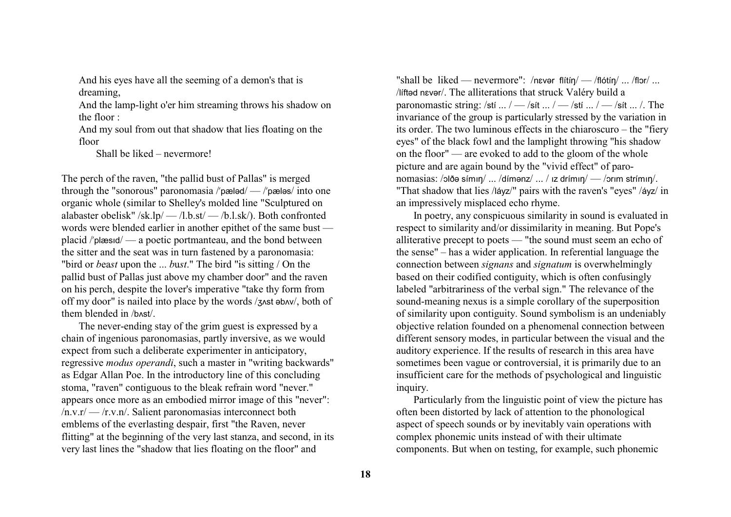And his eyes have all the seeming of a demon's that is dreaming,

And the lamp-light o'er him streaming throws his shadow on the floor :

And my soul from out that shadow that lies floating on the floor

Shall be liked – nevermore!

The perch of the raven, "the pallid bust of Pallas" is merged through the "sonorous" paronomasia / $\alpha$  /  $\alpha$  /  $\alpha$  /  $\alpha$  /  $\alpha$  /  $\alpha$  /  $\alpha$  /  $\alpha$  /  $\alpha$  /  $\alpha$  /  $\alpha$  /  $\alpha$  /  $\alpha$  /  $\alpha$  /  $\alpha$  /  $\alpha$  /  $\alpha$  /  $\alpha$  /  $\alpha$  /  $\alpha$  /  $\alpha$  /  $\alpha$  /  $\alpha$  /  $\alpha$  /  $\alpha$  /  $\alpha$  /  $\alpha$ organic whole (similar to Shelley's molded line "Sculptured on alabaster obelisk" /sk.lp/ — /l.b.st/ — /b.l.sk/). Both confronted words were blended earlier in another epithet of the same bust placid  $/$  plæsid $/$  — a poetic portmanteau, and the bond between the sitter and the seat was in turn fastened by a paronomasia: "bird or *b*ea*st* upon the ... *b*u*st*." The bird "is sitting / On the pallid bust of Pallas just above my chamber door" and the raven on his perch, despite the lover's imperative "take thy form from off my door" is nailed into place by the words  $\langle \mathbf{x} \rangle$  as a box  $\langle \mathbf{x} \rangle$ , both of them blended in /bost/

The never-ending stay of the grim guest is expressed by a chain of ingenious paronomasias, partly inversive, as we would expect from such a deliberate experimenter in anticipatory, regressive *modus operandi*, such a master in "writing backwards" as Edgar Allan Poe. In the introductory line of this concluding stoma, "raven" contiguous to the bleak refrain word "never." appears once more as an embodied mirror image of this "never": /n.v.r/ — /r.v.n/. Salient paronomasias interconnect both emblems of the everlasting despair, first "the Raven, never flitting" at the beginning of the very last stanza, and second, in its very last lines the "shadow that lies floating on the floor" and

"shall be liked — nevermore": /never flitin/ — /flótin/ ... /flor/ ... /lifted never/. The alliterations that struck Valéry build a paronomastic string: /stí ... /  $-$  /sit ... /  $-$  /stí ... /  $-$  /sit ... /. The invariance of the group is particularly stressed by the variation in its order. The two luminous effects in the chiaroscuro – the "fiery eyes" of the black fowl and the lamplight throwing "his shadow on the floor" — are evoked to add to the gloom of the whole picture and are again bound by the "vivid effect" of paronomasias: /ɔlðə símɪŋ/ ... /dímənz/ ... / ɪz drímɪŋ/ — /ɔrɪm strímɪŋ/. "That shadow that lies /láyz/" pairs with the raven's "eyes" /áyz/ in an impressively misplaced echo rhyme.

In poetry, any conspicuous similarity in sound is evaluated in respect to similarity and/or dissimilarity in meaning. But Pope's alliterative precept to poets — "the sound must seem an echo of the sense" – has a wider application. In referential language the connection between *signans* and *signatum* is overwhelmingly based on their codified contiguity, which is often confusingly labeled "arbitrariness of the verbal sign." The relevance of the sound-meaning nexus is a simple corollary of the superposition of similarity upon contiguity. Sound symbolism is an undeniably objective relation founded on a phenomenal connection between different sensory modes, in particular between the visual and the auditory experience. If the results of research in this area have sometimes been vague or controversial, it is primarily due to an insufficient care for the methods of psychological and linguistic inquiry.

Particularly from the linguistic point of view the picture has often been distorted by lack of attention to the phonological aspect of speech sounds or by inevitably vain operations with complex phonemic units instead of with their ultimate components. But when on testing, for example, such phonemic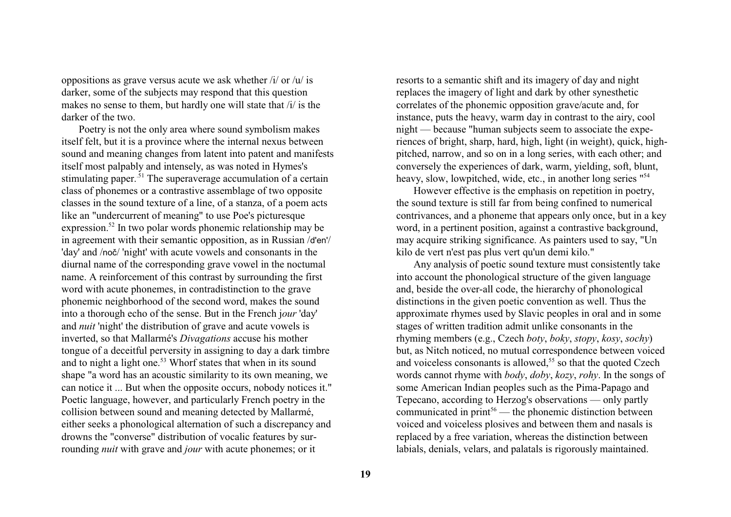oppositions as grave versus acute we ask whether /i/ or /u/ is darker, some of the subjects may respond that this question makes no sense to them, but hardly one will state that /i/ is the darker of the two.

Poetry is not the only area where sound symbolism makes itself felt, but it is a province where the internal nexus between sound and meaning changes from latent into patent and manifests itself most palpably and intensely, as was noted in Hymes's stimulating paper.  $51$  The superaverage accumulation of a certain class of phonemes or a contrastive assemblage of two opposite classes in the sound texture of a line, of a stanza, of a poem acts like an "undercurrent of meaning" to use Poe's picturesque expression.<sup>52</sup> In two polar words phonemic relationship may be in agreement with their semantic opposition, as in Russian /d'en'/ 'day' and /noè/ 'night' with acute vowels and consonants in the diurnal name of the corresponding grave vowel in the noctumal name. A reinforcement of this contrast by surrounding the first word with acute phonemes, in contradistinction to the grave phonemic neighborhood of the second word, makes the sound into a thorough echo of the sense. But in the French j*our* 'day' and *nuit* 'night' the distribution of grave and acute vowels is inverted, so that Mallarmé's *Divagations* accuse his mother tongue of a deceitful perversity in assigning to day a dark timbre and to night a light one.<sup>53</sup> Whorf states that when in its sound shape "a word has an acoustic similarity to its own meaning, we can notice it ... But when the opposite occurs, nobody notices it." Poetic language, however, and particularly French poetry in the collision between sound and meaning detected by Mallarmé, either seeks a phonological alternation of such a discrepancy and drowns the "converse" distribution of vocalic features by surrounding *nuit* with grave and *jour* with acute phonemes; or it

**19**

resorts to a semantic shift and its imagery of day and night replaces the imagery of light and dark by other synesthetic correlates of the phonemic opposition grave/acute and, for instance, puts the heavy, warm day in contrast to the airy, cool night — because "human subjects seem to associate the experiences of bright, sharp, hard, high, light (in weight), quick, highpitched, narrow, and so on in a long series, with each other; and conversely the experiences of dark, warm, yielding, soft, blunt, heavy, slow, lowpitched, wide, etc., in another long series "<sup>54</sup>

However effective is the emphasis on repetition in poetry, the sound texture is still far from being confined to numerical contrivances, and a phoneme that appears only once, but in a key word, in a pertinent position, against a contrastive background, may acquire striking significance. As painters used to say, "Un kilo de vert n'est pas plus vert qu'un demi kilo."

Any analysis of poetic sound texture must consistently take into account the phonological structure of the given language and, beside the over-all code, the hierarchy of phonological distinctions in the given poetic convention as well. Thus the approximate rhymes used by Slavic peoples in oral and in some stages of written tradition admit unlike consonants in the rhyming members (e.g., Czech *boty*, *boky*, *stopy*, *kosy*, *sochy*) but, as Nitch noticed, no mutual correspondence between voiced and voiceless consonants is allowed,<sup> $55$ </sup> so that the quoted Czech words cannot rhyme with *body*, *doby*, *kozy*, *rohy*. In the songs of some American Indian peoples such as the Pima-Papago and Tepecano, according to Herzog's observations — only partly communicated in print<sup>56</sup> — the phonemic distinction between voiced and voiceless plosives and between them and nasals is replaced by a free variation, whereas the distinction between labials, denials, velars, and palatals is rigorously maintained.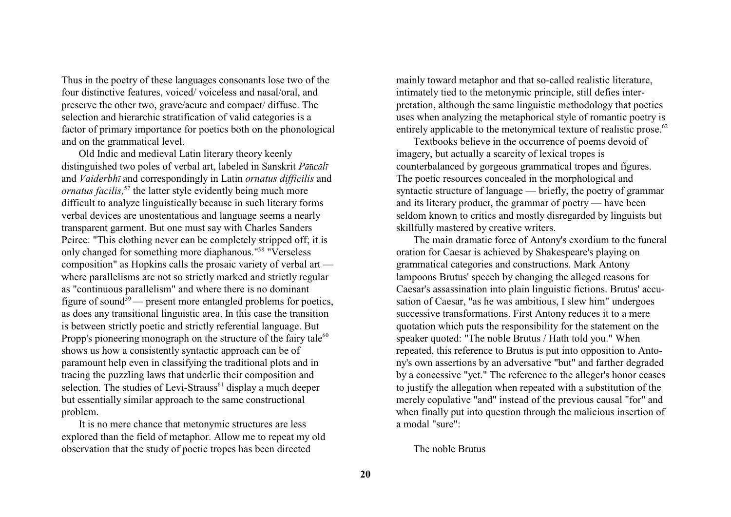Thus in the poetry of these languages consonants lose two of the four distinctive features, voiced/ voiceless and nasal/oral, and preserve the other two, grave/acute and compact/ diffuse. The selection and hierarchic stratification of valid categories is a factor of primary importance for poetics both on the phonological and on the grammatical level.

Old Indic and medieval Latin literary theory keenly distinguished two poles of verbal art, labeled in Sanskrit *Pâûcâlî* and *Vaiderbhî* and correspondingly in Latin *ornatus difficilis* and *ornatus facilis*<sup>57</sup> the latter style evidently being much more difficult to analyze linguistically because in such literary forms verbal devices are unostentatious and language seems a nearly transparent garment. But one must say with Charles Sanders Peirce: "This clothing never can be completely stripped off; it is only changed for something more diaphanous."<sup>58</sup> "Verseless" composition" as Hopkins calls the prosaic variety of verbal art where parallelisms are not so strictly marked and strictly regular as "continuous parallelism" and where there is no dominant figure of sound<sup>59</sup> — present more entangled problems for poetics, as does any transitional linguistic area. In this case the transition is between strictly poetic and strictly referential language. But Propp's pioneering monograph on the structure of the fairy tale<sup>60</sup> shows us how a consistently syntactic approach can be of paramount help even in classifying the traditional plots and in tracing the puzzling laws that underlie their composition and selection. The studies of Levi-Strauss<sup> $61$ </sup> display a much deeper but essentially similar approach to the same constructional problem.

It is no mere chance that metonymic structures are less explored than the field of metaphor. Allow me to repeat my old observation that the study of poetic tropes has been directed

mainly toward metaphor and that so-called realistic literature, intimately tied to the metonymic principle, still defies interpretation, although the same linguistic methodology that poetics uses when analyzing the metaphorical style of romantic poetry is entirely applicable to the metonymical texture of realistic prose.<sup>62</sup>

Textbooks believe in the occurrence of poems devoid of imagery, but actually a scarcity of lexical tropes is counterbalanced by gorgeous grammatical tropes and figures. The poetic resources concealed in the morphological and syntactic structure of language — briefly, the poetry of grammar and its literary product, the grammar of poetry — have been seldom known to critics and mostly disregarded by linguists but skillfully mastered by creative writers.

The main dramatic force of Antony's exordium to the funeral oration for Caesar is achieved by Shakespeare's playing on grammatical categories and constructions. Mark Antony lampoons Brutus' speech by changing the alleged reasons for Caesar's assassination into plain linguistic fictions. Brutus' accusation of Caesar, "as he was ambitious, I slew him" undergoes successive transformations. First Antony reduces it to a mere quotation which puts the responsibility for the statement on the speaker quoted: "The noble Brutus / Hath told you." When repeated, this reference to Brutus is put into opposition to Antony's own assertions by an adversative "but" and farther degraded by a concessive "yet." The reference to the alleger's honor ceases to justify the allegation when repeated with a substitution of the merely copulative "and" instead of the previous causal "for" and when finally put into question through the malicious insertion of a modal "sure":

The noble Brutus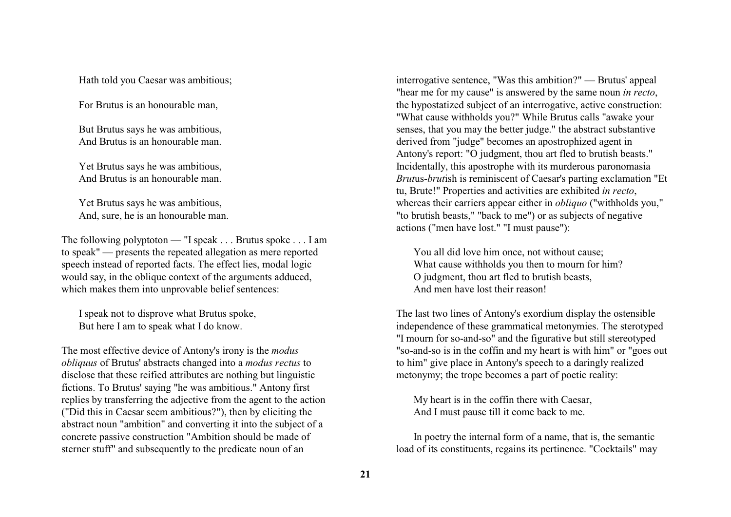Hath told you Caesar was ambitious;

For Brutus is an honourable man,

But Brutus says he was ambitious, And Brutus is an honourable man.

Yet Brutus says he was ambitious, And Brutus is an honourable man.

Yet Brutus says he was ambitious, And, sure, he is an honourable man.

The following polyptoton — "I speak . . . Brutus spoke . . . I am to speak" — presents the repeated allegation as mere reported speech instead of reported facts. The effect lies, modal logic would say, in the oblique context of the arguments adduced, which makes them into unprovable belief sentences:

I speak not to disprove what Brutus spoke, But here I am to speak what I do know.

The most effective device of Antony's irony is the *modus obliquus* of Brutus' abstracts changed into a *modus rectus* to disclose that these reified attributes are nothing but linguistic fictions. To Brutus' saying "he was ambitious." Antony first replies by transferring the adjective from the agent to the action ("Did this in Caesar seem ambitious?"), then by eliciting the abstract noun "ambition" and converting it into the subject of a concrete passive construction "Ambition should be made of sterner stuff" and subsequently to the predicate noun of an

interrogative sentence, "Was this ambition?" — Brutus' appeal "hear me for my cause" is answered by the same noun *in recto*, the hypostatized subject of an interrogative, active construction: "What cause withholds you?" While Brutus calls "awake your senses, that you may the better judge." the abstract substantive derived from "judge" becomes an apostrophized agent in Antony's report: "O judgment, thou art fled to brutish beasts." Incidentally, this apostrophe with its murderous paronomasia *Brut*us-*brut*ish is reminiscent of Caesar's parting exclamation "Et tu, Brute!" Properties and activities are exhibited *in recto*, whereas their carriers appear either in *obliquo* ("withholds you," "to brutish beasts," "back to me") or as subjects of negative actions ("men have lost." "I must pause"):

You all did love him once, not without cause; What cause withholds you then to mourn for him? O judgment, thou art fled to brutish beasts, And men have lost their reason!

The last two lines of Antony's exordium display the ostensible independence of these grammatical metonymies. The sterotyped "I mourn for so-and-so" and the figurative but still stereotyped "so-and-so is in the coffin and my heart is with him" or "goes out to him" give place in Antony's speech to a daringly realized metonymy; the trope becomes a part of poetic reality:

My heart is in the coffin there with Caesar, And I must pause till it come back to me.

In poetry the internal form of a name, that is, the semantic load of its constituents, regains its pertinence. "Cocktails" may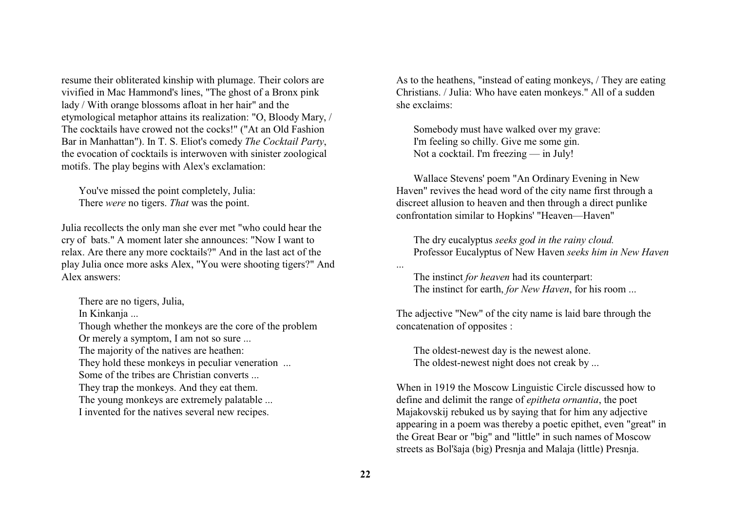resume their obliterated kinship with plumage. Their colors are vivified in Mac Hammond's lines, "The ghost of a Bronx pink lady / With orange blossoms afloat in her hair" and the etymological metaphor attains its realization: "O, Bloody Mary, / The cocktails have crowed not the cocks!" ("At an Old Fashion Bar in Manhattan"). In T. S. Eliot's comedy *The Cocktail Party*, the evocation of cocktails is interwoven with sinister zoological motifs. The play begins with Alex's exclamation:

You've missed the point completely, Julia: There *were* no tigers. *That* was the point.

Julia recollects the only man she ever met "who could hear the cry of bats." A moment later she announces: "Now I want to relax. Are there any more cocktails?" And in the last act of the play Julia once more asks Alex, "You were shooting tigers?" And Alex answers:

There are no tigers, Julia,

In Kinkanja ...

Though whether the monkeys are the core of the problem Or merely a symptom, I am not so sure ...

The majority of the natives are heathen:

They hold these monkeys in peculiar veneration ...

Some of the tribes are Christian converts ...

They trap the monkeys. And they eat them.

The young monkeys are extremely palatable ...

I invented for the natives several new recipes.

As to the heathens, "instead of eating monkeys, / They are eating Christians. / Julia: Who have eaten monkeys." All of a sudden she exclaims:

Somebody must have walked over my grave: I'm feeling so chilly. Give me some gin. Not a cocktail. I'm freezing — in July!

Wallace Stevens' poem "An Ordinary Evening in New Haven" revives the head word of the city name first through a discreet allusion to heaven and then through a direct punlike confrontation similar to Hopkins' "Heaven—Haven"

The dry eucalyptus *seeks god in the rainy cloud.* Professor Eucalyptus of New Haven *seeks him in New Haven*

The instinct *for heaven* had its counterpart: The instinct for earth, *for New Haven*, for his room ...

The adjective "New" of the city name is laid bare through the concatenation of opposites :

The oldest-newest day is the newest alone. The oldest-newest night does not creak by ...

When in 1919 the Moscow Linguistic Circle discussed how to define and delimit the range of *epitheta ornantia*, the poet Majakovskij rebuked us by saying that for him any adjective appearing in a poem was thereby a poetic epithet, even "great" in the Great Bear or "big" and "little" in such names of Moscow streets as Bol'šaja (big) Presnja and Malaja (little) Presnja.

...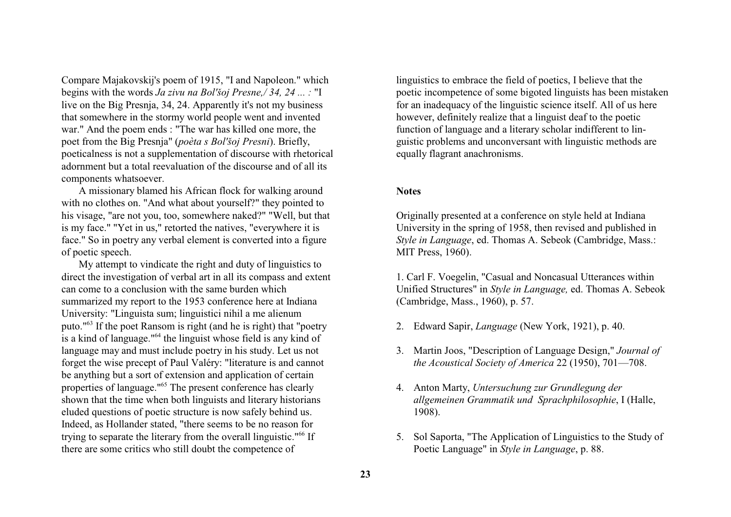Compare Majakovskij's poem of 1915, "I and Napoleon." which begins with the words *Ja zivu na Bol'šoj Presne,/ 34, 24 ... :* "I live on the Big Presnja, 34, 24. Apparently it's not my business that somewhere in the stormy world people went and invented war." And the poem ends : "The war has killed one more, the poet from the Big Presnja" (*poèta s Bol'šoj Presni*). Briefly, poeticalness is not a supplementation of discourse with rhetorical adornment but a total reevaluation of the discourse and of all its components whatsoever.

A missionary blamed his African flock for walking around with no clothes on. "And what about yourself?" they pointed to his visage, "are not you, too, somewhere naked?" "Well, but that is my face." "Yet in us," retorted the natives, "everywhere it is face." So in poetry any verbal element is converted into a figure of poetic speech.

My attempt to vindicate the right and duty of linguistics to direct the investigation of verbal art in all its compass and extent can come to a conclusion with the same burden which summarized my report to the 1953 conference here at Indiana University: "Linguista sum; linguistici nihil a me alienum puto. $163$  If the poet Ransom is right (and he is right) that "poetry is a kind of language." $^{64}$  the linguist whose field is any kind of language may and must include poetry in his study. Let us not forget the wise precept of Paul Valéry: "literature is and cannot be anything but a sort of extension and application of certain properties of language."<sup>65</sup> The present conference has clearly shown that the time when both linguists and literary historians eluded questions of poetic structure is now safely behind us. Indeed, as Hollander stated, "there seems to be no reason for trying to separate the literary from the overall linguistic."<sup>66</sup> If there are some critics who still doubt the competence of

linguistics to embrace the field of poetics, I believe that the poetic incompetence of some bigoted linguists has been mistaken for an inadequacy of the linguistic science itself. All of us here however, definitely realize that a linguist deaf to the poetic function of language and a literary scholar indifferent to linguistic problems and unconversant with linguistic methods are equally flagrant anachronisms.

#### **Notes**

Originally presented at a conference on style held at Indiana University in the spring of 1958, then revised and published in *Style in Language*, ed. Thomas A. Sebeok (Cambridge, Mass.: MIT Press, 1960).

1. Carl F. Voegelin, "Casual and Noncasual Utterances within Unified Structures" in *Style in Language,* ed. Thomas A. Sebeok (Cambridge, Mass., 1960), p. 57.

- 2. Edward Sapir, *Language* (New York, 1921), p. 40.
- 3. Martin Joos, "Description of Language Design," *Journal of the Acoustical Society of America* 22 (1950), 701—708.
- 4. Anton Marty, *Untersuchung zur Grundlegung der allgemeinen Grammatik und Sprachphilosophie*, I (Halle, 1908).
- 5. Sol Saporta, "The Application of Linguistics to the Study of Poetic Language" in *Style in Language*, p. 88.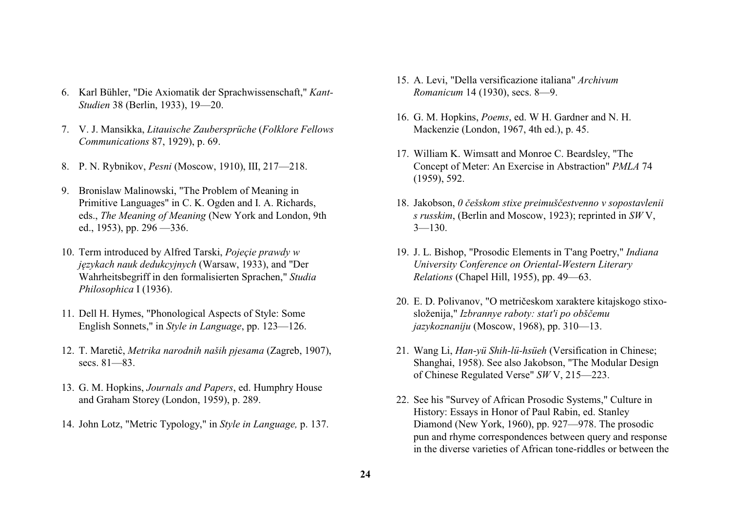- 6. Karl Bühler, "Die Axiomatik der Sprachwissenschaft," *Kant-Studien* 38 (Berlin, 1933), 19—20.
- 7. V. J. Mansikka, *Litauische Zaubersprüche* (*Folklore Fellows Communications* 87, 1929), p. 69.
- 8. P. N. Rybnikov, *Pesni* (Moscow, 1910), III, 217—218.
- 9. Bronislaw Malinowski, "The Problem of Meaning in Primitive Languages" in C. K. Ogden and I. A. Richards, eds., *The Meaning of Meaning* (New York and London, 9th ed., 1953), pp. 296 —336.
- 10. Term introduced by Alfred Tarski, *Pojeçie prawdy w jêzykach nauk dedukcyjnych* (Warsaw, 1933), and "Der Wahrheitsbegriff in den formalisierten Sprachen," *Studia Philosophica* I (1936).
- 11. Dell H. Hymes, "Phonological Aspects of Style: Some English Sonnets," in *Style in Language*, pp. 123—126.
- 12. T. Mareti, *Metrika narodnih naših pjesama* (Zagreb, 1907), secs. 81—83.
- 13. G. M. Hopkins, *Journals and Papers*, ed. Humphry House and Graham Storey (London, 1959), p. 289.
- 14. John Lotz, "Metric Typology," in *Style in Language,* p. 137.
- 15. A. Levi, "Della versificazione italiana" *Archivum Romanicum* 14 (1930), secs. 8—9.
- 16. G. M. Hopkins, *Poems*, ed. W H. Gardner and N. H. Mackenzie (London, 1967, 4th ed.), p. 45.
- 17. William K. Wimsatt and Monroe C. Beardsley, "The Concept of Meter: An Exercise in Abstraction" *PMLA* 74 (1959), 592.
- 18. Jakobson, *0 èešskom stixe preimušèestvenno v sopostavlenii s russkim*, (Berlin and Moscow, 1923); reprinted in *SW* V,  $3 - 130.$
- 19. J. L. Bishop, "Prosodic Elements in T'ang Poetry," *Indiana University Conference on Oriental-Western Literary Relations* (Chapel Hill, 1955), pp. 49—63.
- 20. E. D. Polivanov, "O metrièeskom xaraktere kitajskogo stixosloženija," *Izbrannye raboty: stat'i po obšèemu jazykoznaniju* (Moscow, 1968), pp. 310—13.
- 21. Wang Li, *Han-yü Shih-lü-hsüeh* (Versification in Chinese; Shanghai, 1958). See also Jakobson, "The Modular Design of Chinese Regulated Verse" *SW* V, 215—223.
- 22. See his "Survey of African Prosodic Systems," Culture in History: Essays in Honor of Paul Rabin, ed. Stanley Diamond (New York, 1960), pp. 927—978. The prosodic pun and rhyme correspondences between query and response in the diverse varieties of African tone-riddles or between the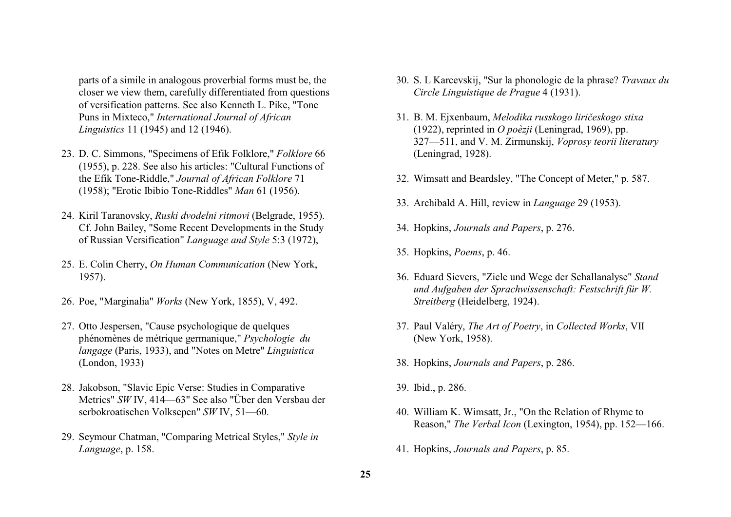parts of a simile in analogous proverbial forms must be, the closer we view them, carefully differentiated from questions of versification patterns. See also Kenneth L. Pike, "Tone Puns in Mixteco," *International Journal of African Linguistics* 11 (1945) and 12 (1946).

- 23. D. C. Simmons, "Specimens of Efik Folklore," *Folklore* 66 (1955), p. 228. See also his articles: "Cultural Functions of the Efik Tone-Riddle," *Journal of African Folklore* 71 (1958); "Erotic Ibibio Tone-Riddles" *Man* 61 (1956).
- 24. Kiril Taranovsky, *Ruski dvodelni ritmovi* (Belgrade, 1955). Cf. John Bailey, "Some Recent Developments in the Study of Russian Versification" *Language and Style* 5:3 (1972),
- 25. E. Colin Cherry, *On Human Communication* (New York, 1957).
- 26. Poe, "Marginalia" *Works* (New York, 1855), V, 492.
- 27. Otto Jespersen, "Cause psychologique de quelques phénomènes de métrique germanique," *Psychologie du langage* (Paris, 1933), and "Notes on Metre" *Linguistica* (London, 1933)
- 28. Jakobson, "Slavic Epic Verse: Studies in Comparative Metrics" *SW* IV, 414—63" See also "Über den Versbau der serbokroatischen Volksepen" *SW* IV, 51—60.
- 29. Seymour Chatman, "Comparing Metrical Styles," *Style in Language*, p. 158.
- 30. S. L Karcevskij, "Sur la phonologic de la phrase? *Travaux du Circle Linguistique de Prague* 4 (1931).
- 31. B. M. Ejxenbaum, *Melodika russkogo lirièeskogo stixa* (1922), reprinted in *O poèzji* (Leningrad, 1969), pp. 327—511, and V. M. Zirmunskij, *Voprosy teorii literatury* (Leningrad, 1928).
- 32. Wimsatt and Beardsley, "The Concept of Meter," p. 587.
- 33. Archibald A. Hill, review in *Language* 29 (1953).
- 34. Hopkins, *Journals and Papers*, p. 276.
- 35. Hopkins, *Poems*, p. 46.
- 36. Eduard Sievers, "Ziele und Wege der Schallanalyse" *Stand und Aufgaben der Sprachwissenschaft: Festschrift für W. Streitberg* (Heidelberg, 1924).
- 37. Paul Valéry, *The Art of Poetry*, in *Collected Works*, VII (New York, 1958).
- 38. Hopkins, *Journals and Papers*, p. 286.
- 39. Ibid., p. 286.
- 40. William K. Wimsatt, Jr., "On the Relation of Rhyme to Reason," *The Verbal Icon* (Lexington, 1954), pp. 152—166.
- 41. Hopkins, *Journals and Papers*, p. 85.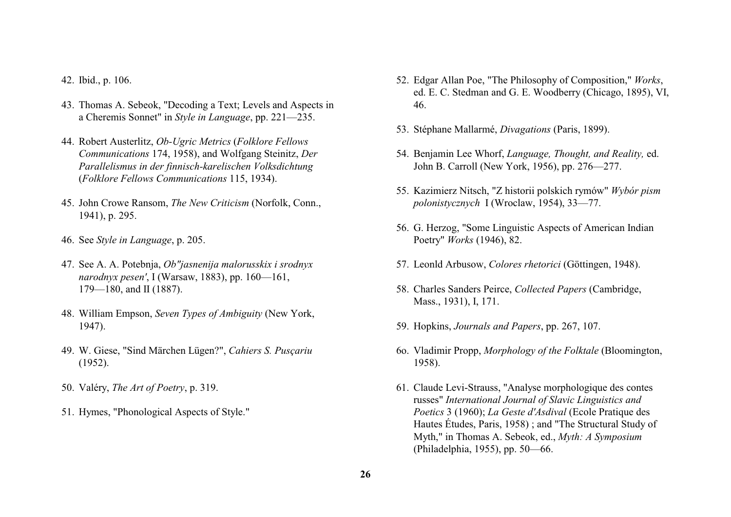- 42. Ibid., p. 106.
- 43. Thomas A. Sebeok, "Decoding a Text; Levels and Aspects in a Cheremis Sonnet" in *Style in Language*, pp. 221—235.
- 44. Robert Austerlitz, *Ob-Ugric Metrics* (*Folklore Fellows Communications* 174, 1958), and Wolfgang Steinitz, *Der Parallelismus in der finnisch-karelischen Volksdichtung* (*Folklore Fellows Communications* 115, 1934).
- 45. John Crowe Ransom, *The New Criticism* (Norfolk, Conn., 1941), p. 295.
- 46. See *Style in Language*, p. 205.
- 47. See A. A. Potebnja, *Ob"jasnenija malorusskix i srodnyx narodnyx pesen'*, I (Warsaw, 1883), pp. 160—161, 179—180, and II (1887).
- 48. William Empson, *Seven Types of Ambiguity* (New York, 1947).
- 49. W. Giese, "Sind Märchen Lügen?", *Cahiers S. Pusçariu* (1952).
- 50. Valéry, *The Art of Poetry*, p. 319.
- 51. Hymes, "Phonological Aspects of Style."
- 52. Edgar Allan Poe, "The Philosophy of Composition," *Works*, ed. E. C. Stedman and G. E. Woodberry (Chicago, 1895), VI, 46.
- 53. Stéphane Mallarmé, *Divagations* (Paris, 1899).
- 54. Benjamin Lee Whorf, *Language, Thought, and Reality,* ed. John B. Carroll (New York, 1956), pp. 276—277.
- 55. Kazimierz Nitsch, "Z historii polskich rymów" *Wybór pism polonistycznych* I (Wroclaw, 1954), 33—77.
- 56. G. Herzog, "Some Linguistic Aspects of American Indian Poetry" *Works* (1946), 82.
- 57. Leonld Arbusow, *Colores rhetorici* (Göttingen, 1948).
- 58. Charles Sanders Peirce, *Collected Papers* (Cambridge, Mass., 1931), I, 171.
- 59. Hopkins, *Journals and Papers*, pp. 267, 107.
- 6o. Vladimir Propp, *Morphology of the Folktale* (Bloomington, 1958).
- 61. Claude Levi-Strauss, "Analyse morphologique des contes russes" *International Journal of Slavic Linguistics and Poetics* 3 (1960); *La Geste d'Asdival* (Ecole Pratique des Hautes Études, Paris, 1958) ; and "The Structural Study of Myth," in Thomas A. Sebeok, ed., *Myth: A Symposium* (Philadelphia, 1955), pp. 50—66.